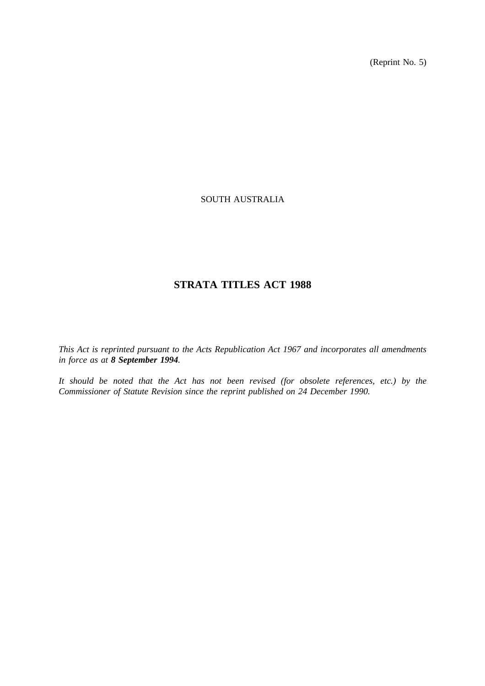(Reprint No. 5)

## SOUTH AUSTRALIA

# **STRATA TITLES ACT 1988**

*This Act is reprinted pursuant to the Acts Republication Act 1967 and incorporates all amendments in force as at 8 September 1994.*

*It should be noted that the Act has not been revised (for obsolete references, etc.) by the Commissioner of Statute Revision since the reprint published on 24 December 1990.*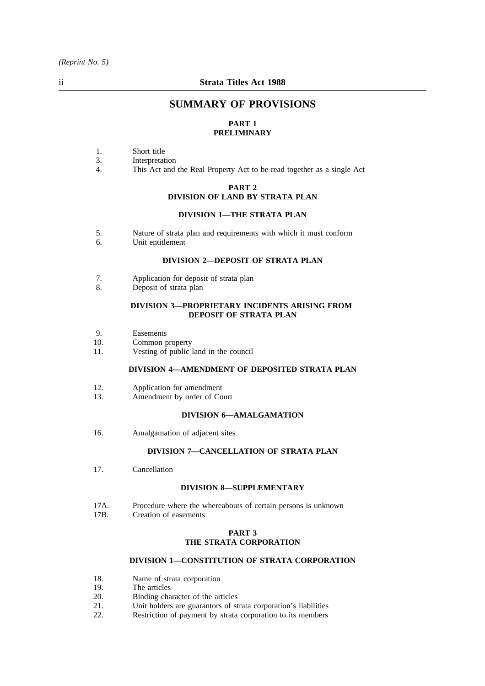# **SUMMARY OF PROVISIONS**

## **PART 1 PRELIMINARY**

- 1. Short title
- 3. Interpretation
- 4. This Act and the Real Property Act to be read together as a single Act

#### **PART 2 DIVISION OF LAND BY STRATA PLAN**

#### **DIVISION 1—THE STRATA PLAN**

- 5. Nature of strata plan and requirements with which it must conform
- 6. Unit entitlement

#### **DIVISION 2—DEPOSIT OF STRATA PLAN**

- 7. Application for deposit of strata plan
- 8. Deposit of strata plan

#### **DIVISION 3—PROPRIETARY INCIDENTS ARISING FROM DEPOSIT OF STRATA PLAN**

- 9. Easements
- 10. Common property<br>11. Vesting of public
- Vesting of public land in the council

## **DIVISION 4—AMENDMENT OF DEPOSITED STRATA PLAN**

- 12. Application for amendment
- 13. Amendment by order of Court

## **DIVISION 6—AMALGAMATION**

16. Amalgamation of adjacent sites

## **DIVISION 7—CANCELLATION OF STRATA PLAN**

17. Cancellation

#### **DIVISION 8—SUPPLEMENTARY**

17A. Procedure where the whereabouts of certain persons is unknown<br>17B. Creation of easements Creation of easements

#### **PART 3 THE STRATA CORPORATION**

### **DIVISION 1—CONSTITUTION OF STRATA CORPORATION**

- 18. Name of strata corporation
- 19. The articles
- 20. Binding character of the articles
- 21. Unit holders are guarantors of strata corporation's liabilities
- 22. Restriction of payment by strata corporation to its members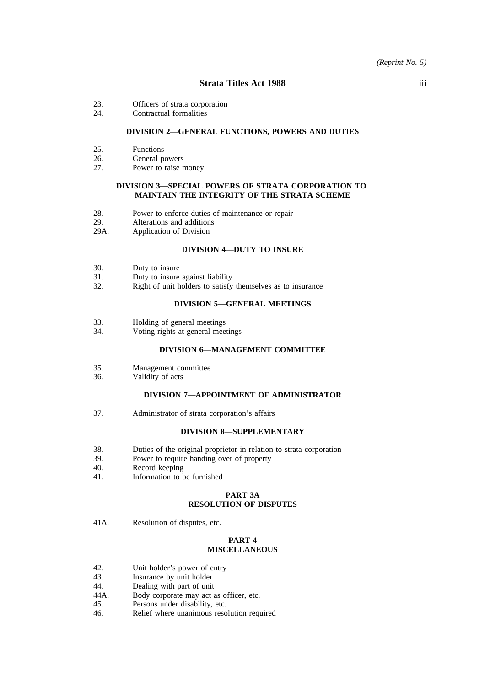- 23. Officers of strata corporation
- 24. Contractual formalities

## **DIVISION 2—GENERAL FUNCTIONS, POWERS AND DUTIES**

- 25. Functions<br>26. General p
- General powers
- 27. Power to raise money

#### **DIVISION 3—SPECIAL POWERS OF STRATA CORPORATION TO MAINTAIN THE INTEGRITY OF THE STRATA SCHEME**

- 28. Power to enforce duties of maintenance or repair<br>29. Alterations and additions
- 29. Alterations and additions<br>29A. Application of Division
- Application of Division

#### **DIVISION 4—DUTY TO INSURE**

- 30. Duty to insure
- 31. Duty to insure against liability
- 32. Right of unit holders to satisfy themselves as to insurance

#### **DIVISION 5—GENERAL MEETINGS**

- 33. Holding of general meetings
- 34. Voting rights at general meetings

#### **DIVISION 6—MANAGEMENT COMMITTEE**

- 35. Management committee
- 36. Validity of acts

#### **DIVISION 7—APPOINTMENT OF ADMINISTRATOR**

37. Administrator of strata corporation's affairs

#### **DIVISION 8—SUPPLEMENTARY**

- 38. Duties of the original proprietor in relation to strata corporation 39. Power to require handing over of property
- 39. Power to require handing over of property<br>40. Record keeping
- 40. Record keeping<br>41. **Information to h**
- Information to be furnished

## **PART 3A RESOLUTION OF DISPUTES**

41A. Resolution of disputes, etc.

## **PART 4 MISCELLANEOUS**

- 42. Unit holder's power of entry
- 43. Insurance by unit holder
- 44. Dealing with part of unit
- 44A. Body corporate may act as officer, etc.<br>45. Persons under disability, etc.
- 45. Persons under disability, etc.<br>46. Relief where unanimous reso
- Relief where unanimous resolution required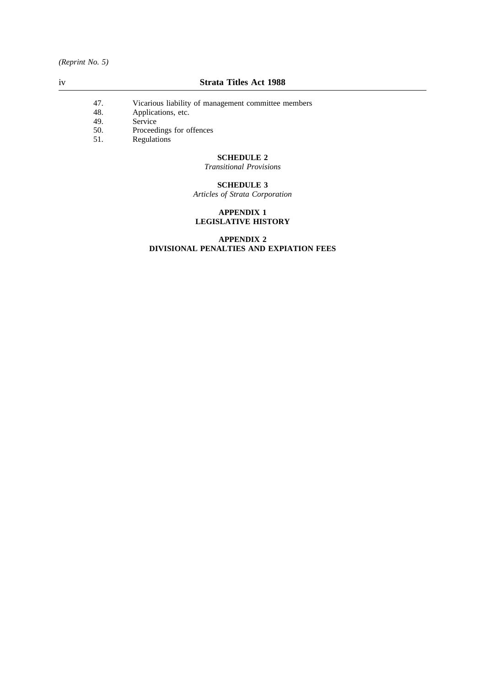- 47. Vicarious liability of management committee members<br>48. Applications, etc.
- 48. Applications, etc.
- 49. Service
- 50. Proceedings for offences
- 51. Regulations

## **SCHEDULE 2**

*Transitional Provisions*

## **SCHEDULE 3**

*Articles of Strata Corporation*

## **APPENDIX 1 LEGISLATIVE HISTORY**

## **APPENDIX 2 DIVISIONAL PENALTIES AND EXPIATION FEES**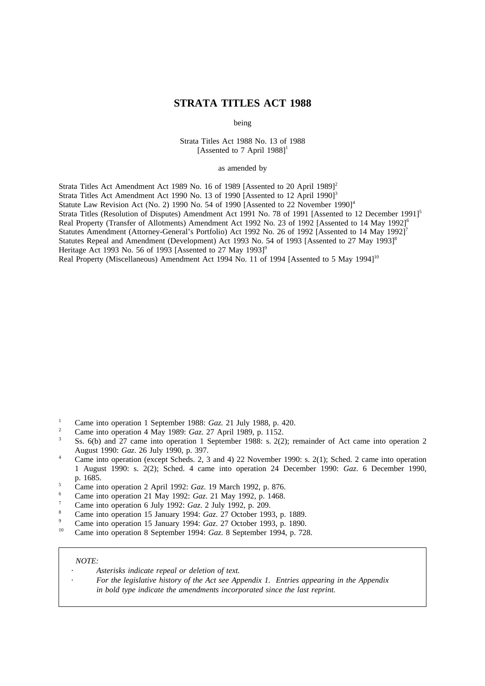## **STRATA TITLES ACT 1988**

being

Strata Titles Act 1988 No. 13 of 1988 [Assented to 7 April 1988]<sup>1</sup>

as amended by

Strata Titles Act Amendment Act 1989 No. 16 of 1989 [Assented to 20 April 1989]<sup>2</sup>

Strata Titles Act Amendment Act 1990 No. 13 of 1990 [Assented to 12 April 1990]<sup>3</sup>

Statute Law Revision Act (No. 2) 1990 No. 54 of 1990 [Assented to 22 November 1990]<sup>4</sup>

Strata Titles (Resolution of Disputes) Amendment Act 1991 No. 78 of 1991 [Assented to 12 December 1991]<sup>5</sup>

Real Property (Transfer of Allotments) Amendment Act 1992 No. 23 of 1992 [Assented to 14 May 1992]<sup>6</sup>

Statutes Amendment (Attorney-General's Portfolio) Act 1992 No. 26 of 1992 [Assented to 14 May 1992]<sup>7</sup> Statutes Repeal and Amendment (Development) Act 1993 No. 54 of 1993 [Assented to 27 May 1993]<sup>8</sup>

Heritage Act 1993 No. 56 of 1993 [Assented to 27 May 1993] $^9$ 

Real Property (Miscellaneous) Amendment Act 1994 No. 11 of 1994 [Assented to 5 May 1994]<sup>10</sup>

- <sup>1</sup> Came into operation 1 September 1988: *Gaz*. 21 July 1988, p. 420.
- <sup>2</sup> Came into operation 4 May 1989: *Gaz*. 27 April 1989, p. 1152.
- Ss. 6(b) and 27 came into operation 1 September 1988: s. 2(2); remainder of Act came into operation 2 August 1990: *Gaz*. 26 July 1990, p. 397.
- <sup>4</sup> Came into operation (except Scheds. 2, 3 and 4) 22 November 1990: s. 2(1); Sched. 2 came into operation 1 August 1990: s. 2(2); Sched. 4 came into operation 24 December 1990: *Gaz*. 6 December 1990, p. 1685.
- <sup>5</sup> Came into operation 2 April 1992: *Gaz*. 19 March 1992, p. 876.
- <sup>6</sup> Came into operation 21 May 1992: *Gaz*. 21 May 1992, p. 1468.
- <sup>7</sup> Came into operation 6 July 1992: *Gaz*. 2 July 1992, p. 209.
- <sup>8</sup> Came into operation 15 January 1994: *Gaz*. 27 October 1993, p. 1889.
- <sup>9</sup> Came into operation 15 January 1994: *Gaz*. 27 October 1993, p. 1890.
- <sup>10</sup> Came into operation 8 September 1994: *Gaz*. 8 September 1994, p. 728.

#### *NOTE:*

*Asterisks indicate repeal or deletion of text.*

*For the legislative history of the Act see Appendix 1. Entries appearing in the Appendix in bold type indicate the amendments incorporated since the last reprint.*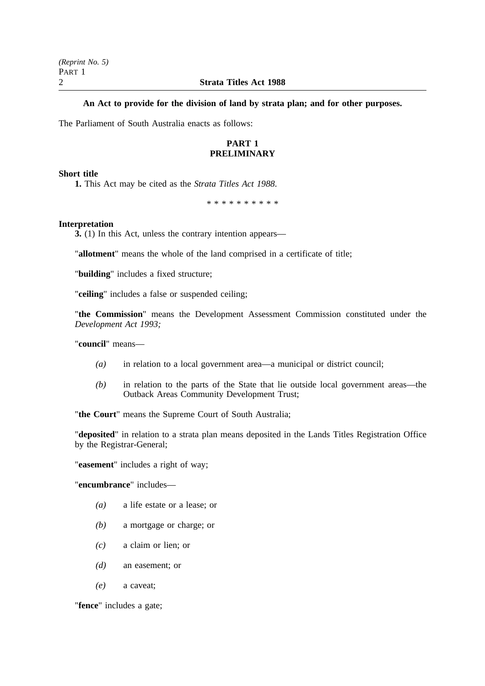## **An Act to provide for the division of land by strata plan; and for other purposes.**

The Parliament of South Australia enacts as follows:

## **PART 1 PRELIMINARY**

## **Short title**

**1.** This Act may be cited as the *Strata Titles Act 1988*.

\*\*\*\*\*\*\*\*\*\*

## **Interpretation**

**3.** (1) In this Act, unless the contrary intention appears—

"**allotment**" means the whole of the land comprised in a certificate of title;

"**building**" includes a fixed structure;

"**ceiling**" includes a false or suspended ceiling;

"**the Commission**" means the Development Assessment Commission constituted under the *Development Act 1993;*

"**council**" means—

- *(a)* in relation to a local government area—a municipal or district council;
- *(b)* in relation to the parts of the State that lie outside local government areas—the Outback Areas Community Development Trust;

"**the Court**" means the Supreme Court of South Australia;

"**deposited**" in relation to a strata plan means deposited in the Lands Titles Registration Office by the Registrar-General;

"**easement**" includes a right of way;

"**encumbrance**" includes—

- *(a)* a life estate or a lease; or
- *(b)* a mortgage or charge; or
- *(c)* a claim or lien; or
- *(d)* an easement; or
- *(e)* a caveat;

"**fence**" includes a gate;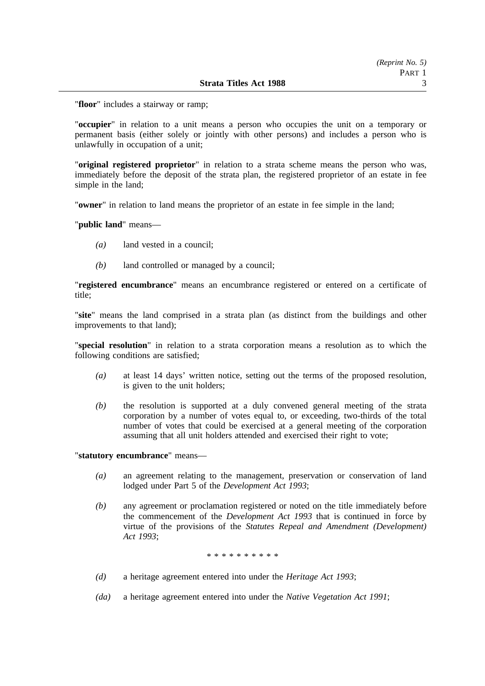"**floor**" includes a stairway or ramp;

"**occupier**" in relation to a unit means a person who occupies the unit on a temporary or permanent basis (either solely or jointly with other persons) and includes a person who is unlawfully in occupation of a unit;

"**original registered proprietor**" in relation to a strata scheme means the person who was, immediately before the deposit of the strata plan, the registered proprietor of an estate in fee simple in the land;

"**owner**" in relation to land means the proprietor of an estate in fee simple in the land;

"**public land**" means—

- *(a)* land vested in a council;
- *(b)* land controlled or managed by a council;

"**registered encumbrance**" means an encumbrance registered or entered on a certificate of title;

"**site**" means the land comprised in a strata plan (as distinct from the buildings and other improvements to that land);

"**special resolution**" in relation to a strata corporation means a resolution as to which the following conditions are satisfied;

- *(a)* at least 14 days' written notice, setting out the terms of the proposed resolution, is given to the unit holders;
- *(b)* the resolution is supported at a duly convened general meeting of the strata corporation by a number of votes equal to, or exceeding, two-thirds of the total number of votes that could be exercised at a general meeting of the corporation assuming that all unit holders attended and exercised their right to vote;

"**statutory encumbrance**" means—

- *(a)* an agreement relating to the management, preservation or conservation of land lodged under Part 5 of the *Development Act 1993*;
- *(b)* any agreement or proclamation registered or noted on the title immediately before the commencement of the *Development Act 1993* that is continued in force by virtue of the provisions of the *Statutes Repeal and Amendment (Development) Act 1993*;

\* \* \* \* \* \* \* \* \*

- *(d)* a heritage agreement entered into under the *Heritage Act 1993*;
- *(da)* a heritage agreement entered into under the *Native Vegetation Act 1991*;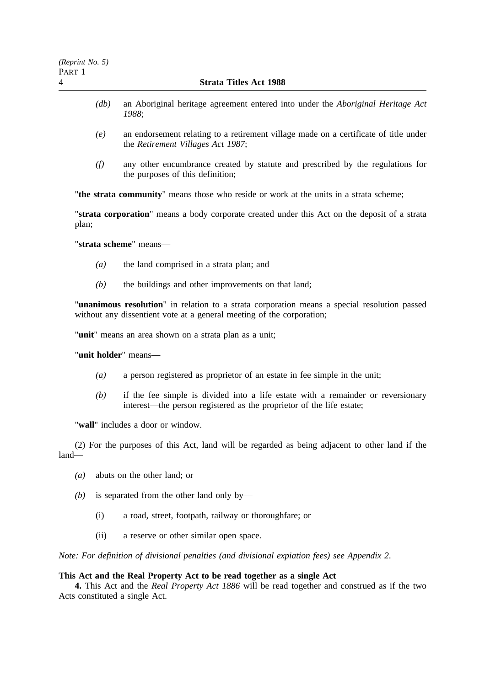- *(db)* an Aboriginal heritage agreement entered into under the *Aboriginal Heritage Act 1988*;
- *(e)* an endorsement relating to a retirement village made on a certificate of title under the *Retirement Villages Act 1987*;
- *(f)* any other encumbrance created by statute and prescribed by the regulations for the purposes of this definition;

"**the strata community**" means those who reside or work at the units in a strata scheme;

"**strata corporation**" means a body corporate created under this Act on the deposit of a strata plan;

"**strata scheme**" means—

- *(a)* the land comprised in a strata plan; and
- *(b)* the buildings and other improvements on that land;

"**unanimous resolution**" in relation to a strata corporation means a special resolution passed without any dissentient vote at a general meeting of the corporation;

"**unit**" means an area shown on a strata plan as a unit;

"**unit holder**" means—

- *(a)* a person registered as proprietor of an estate in fee simple in the unit;
- *(b)* if the fee simple is divided into a life estate with a remainder or reversionary interest—the person registered as the proprietor of the life estate;

"**wall**" includes a door or window.

(2) For the purposes of this Act, land will be regarded as being adjacent to other land if the land—

- *(a)* abuts on the other land; or
- *(b)* is separated from the other land only by—
	- (i) a road, street, footpath, railway or thoroughfare; or
	- (ii) a reserve or other similar open space.

*Note: For definition of divisional penalties (and divisional expiation fees) see Appendix 2*.

#### **This Act and the Real Property Act to be read together as a single Act**

**4.** This Act and the *Real Property Act 1886* will be read together and construed as if the two Acts constituted a single Act.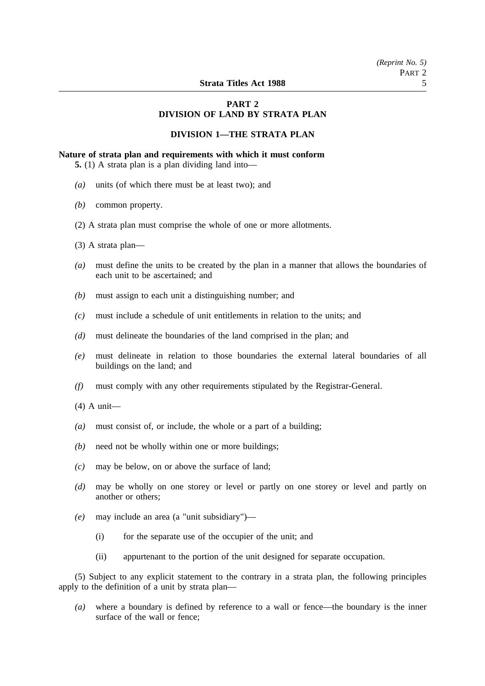## **PART 2 DIVISION OF LAND BY STRATA PLAN**

## **DIVISION 1—THE STRATA PLAN**

#### **Nature of strata plan and requirements with which it must conform**

**5.** (1) A strata plan is a plan dividing land into—

- *(a)* units (of which there must be at least two); and
- *(b)* common property.
- (2) A strata plan must comprise the whole of one or more allotments.
- (3) A strata plan—
- *(a)* must define the units to be created by the plan in a manner that allows the boundaries of each unit to be ascertained; and
- *(b)* must assign to each unit a distinguishing number; and
- *(c)* must include a schedule of unit entitlements in relation to the units; and
- *(d)* must delineate the boundaries of the land comprised in the plan; and
- *(e)* must delineate in relation to those boundaries the external lateral boundaries of all buildings on the land; and
- *(f)* must comply with any other requirements stipulated by the Registrar-General.
- (4) A unit—
- *(a)* must consist of, or include, the whole or a part of a building;
- *(b)* need not be wholly within one or more buildings;
- *(c)* may be below, on or above the surface of land;
- *(d)* may be wholly on one storey or level or partly on one storey or level and partly on another or others;
- *(e)* may include an area (a "unit subsidiary")—
	- (i) for the separate use of the occupier of the unit; and
	- (ii) appurtenant to the portion of the unit designed for separate occupation.

(5) Subject to any explicit statement to the contrary in a strata plan, the following principles apply to the definition of a unit by strata plan—

*(a)* where a boundary is defined by reference to a wall or fence—the boundary is the inner surface of the wall or fence;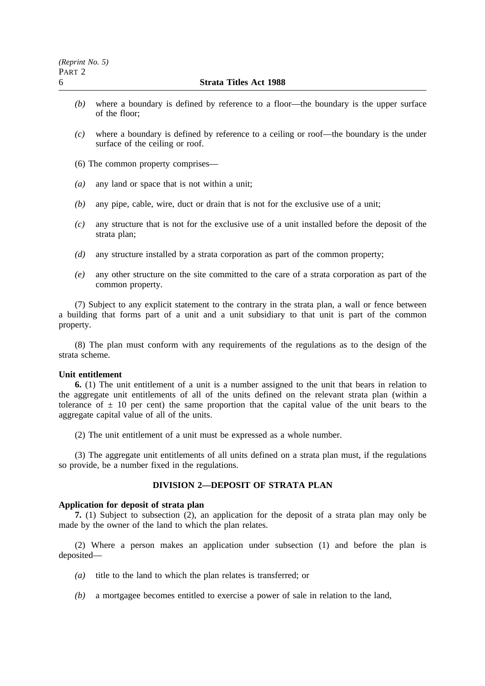- *(b)* where a boundary is defined by reference to a floor—the boundary is the upper surface of the floor;
- *(c)* where a boundary is defined by reference to a ceiling or roof—the boundary is the under surface of the ceiling or roof.
- (6) The common property comprises—
- *(a)* any land or space that is not within a unit;
- *(b)* any pipe, cable, wire, duct or drain that is not for the exclusive use of a unit;
- *(c)* any structure that is not for the exclusive use of a unit installed before the deposit of the strata plan;
- *(d)* any structure installed by a strata corporation as part of the common property;
- *(e)* any other structure on the site committed to the care of a strata corporation as part of the common property.

(7) Subject to any explicit statement to the contrary in the strata plan, a wall or fence between a building that forms part of a unit and a unit subsidiary to that unit is part of the common property.

(8) The plan must conform with any requirements of the regulations as to the design of the strata scheme.

## **Unit entitlement**

**6.** (1) The unit entitlement of a unit is a number assigned to the unit that bears in relation to the aggregate unit entitlements of all of the units defined on the relevant strata plan (within a tolerance of  $\pm$  10 per cent) the same proportion that the capital value of the unit bears to the aggregate capital value of all of the units.

(2) The unit entitlement of a unit must be expressed as a whole number.

(3) The aggregate unit entitlements of all units defined on a strata plan must, if the regulations so provide, be a number fixed in the regulations.

## **DIVISION 2—DEPOSIT OF STRATA PLAN**

#### **Application for deposit of strata plan**

**7.** (1) Subject to subsection (2), an application for the deposit of a strata plan may only be made by the owner of the land to which the plan relates.

(2) Where a person makes an application under subsection (1) and before the plan is deposited—

- *(a)* title to the land to which the plan relates is transferred; or
- *(b)* a mortgagee becomes entitled to exercise a power of sale in relation to the land,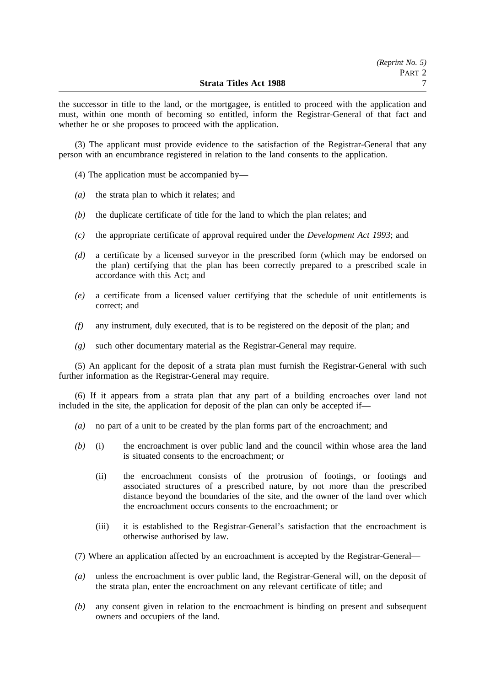the successor in title to the land, or the mortgagee, is entitled to proceed with the application and must, within one month of becoming so entitled, inform the Registrar-General of that fact and whether he or she proposes to proceed with the application.

(3) The applicant must provide evidence to the satisfaction of the Registrar-General that any person with an encumbrance registered in relation to the land consents to the application.

(4) The application must be accompanied by—

- *(a)* the strata plan to which it relates; and
- *(b)* the duplicate certificate of title for the land to which the plan relates; and
- *(c)* the appropriate certificate of approval required under the *Development Act 1993*; and
- *(d)* a certificate by a licensed surveyor in the prescribed form (which may be endorsed on the plan) certifying that the plan has been correctly prepared to a prescribed scale in accordance with this Act; and
- *(e)* a certificate from a licensed valuer certifying that the schedule of unit entitlements is correct; and
- *(f)* any instrument, duly executed, that is to be registered on the deposit of the plan; and
- *(g)* such other documentary material as the Registrar-General may require.

(5) An applicant for the deposit of a strata plan must furnish the Registrar-General with such further information as the Registrar-General may require.

(6) If it appears from a strata plan that any part of a building encroaches over land not included in the site, the application for deposit of the plan can only be accepted if—

- *(a)* no part of a unit to be created by the plan forms part of the encroachment; and
- *(b)* (i) the encroachment is over public land and the council within whose area the land is situated consents to the encroachment; or
	- (ii) the encroachment consists of the protrusion of footings, or footings and associated structures of a prescribed nature, by not more than the prescribed distance beyond the boundaries of the site, and the owner of the land over which the encroachment occurs consents to the encroachment; or
	- (iii) it is established to the Registrar-General's satisfaction that the encroachment is otherwise authorised by law.
- (7) Where an application affected by an encroachment is accepted by the Registrar-General—
- *(a)* unless the encroachment is over public land, the Registrar-General will, on the deposit of the strata plan, enter the encroachment on any relevant certificate of title; and
- *(b)* any consent given in relation to the encroachment is binding on present and subsequent owners and occupiers of the land.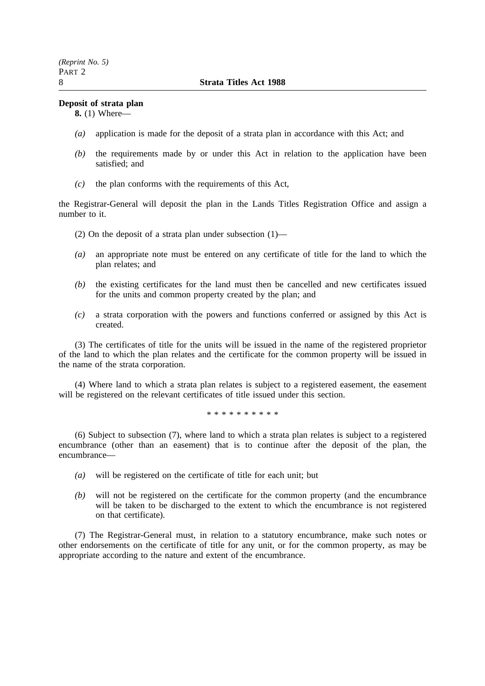## **Deposit of strata plan**

**8.** (1) Where—

- *(a)* application is made for the deposit of a strata plan in accordance with this Act; and
- *(b)* the requirements made by or under this Act in relation to the application have been satisfied; and
- *(c)* the plan conforms with the requirements of this Act,

the Registrar-General will deposit the plan in the Lands Titles Registration Office and assign a number to it.

- (2) On the deposit of a strata plan under subsection (1)—
- *(a)* an appropriate note must be entered on any certificate of title for the land to which the plan relates; and
- *(b)* the existing certificates for the land must then be cancelled and new certificates issued for the units and common property created by the plan; and
- *(c)* a strata corporation with the powers and functions conferred or assigned by this Act is created.

(3) The certificates of title for the units will be issued in the name of the registered proprietor of the land to which the plan relates and the certificate for the common property will be issued in the name of the strata corporation.

(4) Where land to which a strata plan relates is subject to a registered easement, the easement will be registered on the relevant certificates of title issued under this section.

\*\*\*\*\*\*\*\*\*\*

(6) Subject to subsection (7), where land to which a strata plan relates is subject to a registered encumbrance (other than an easement) that is to continue after the deposit of the plan, the encumbrance—

- *(a)* will be registered on the certificate of title for each unit; but
- *(b)* will not be registered on the certificate for the common property (and the encumbrance will be taken to be discharged to the extent to which the encumbrance is not registered on that certificate).

(7) The Registrar-General must, in relation to a statutory encumbrance, make such notes or other endorsements on the certificate of title for any unit, or for the common property, as may be appropriate according to the nature and extent of the encumbrance.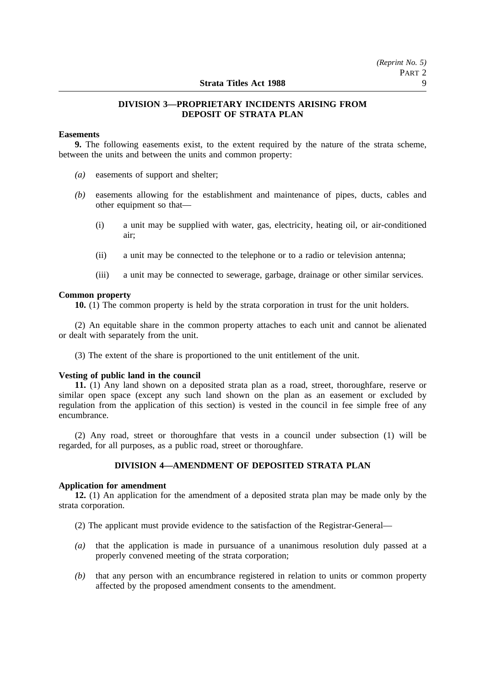## **DIVISION 3—PROPRIETARY INCIDENTS ARISING FROM DEPOSIT OF STRATA PLAN**

## **Easements**

**9.** The following easements exist, to the extent required by the nature of the strata scheme, between the units and between the units and common property:

- *(a)* easements of support and shelter;
- *(b)* easements allowing for the establishment and maintenance of pipes, ducts, cables and other equipment so that—
	- (i) a unit may be supplied with water, gas, electricity, heating oil, or air-conditioned air;
	- (ii) a unit may be connected to the telephone or to a radio or television antenna;
	- (iii) a unit may be connected to sewerage, garbage, drainage or other similar services.

#### **Common property**

**10.** (1) The common property is held by the strata corporation in trust for the unit holders.

(2) An equitable share in the common property attaches to each unit and cannot be alienated or dealt with separately from the unit.

(3) The extent of the share is proportioned to the unit entitlement of the unit.

#### **Vesting of public land in the council**

**11.** (1) Any land shown on a deposited strata plan as a road, street, thoroughfare, reserve or similar open space (except any such land shown on the plan as an easement or excluded by regulation from the application of this section) is vested in the council in fee simple free of any encumbrance.

(2) Any road, street or thoroughfare that vests in a council under subsection (1) will be regarded, for all purposes, as a public road, street or thoroughfare.

## **DIVISION 4—AMENDMENT OF DEPOSITED STRATA PLAN**

## **Application for amendment**

**12.** (1) An application for the amendment of a deposited strata plan may be made only by the strata corporation.

- (2) The applicant must provide evidence to the satisfaction of the Registrar-General—
- *(a)* that the application is made in pursuance of a unanimous resolution duly passed at a properly convened meeting of the strata corporation;
- *(b)* that any person with an encumbrance registered in relation to units or common property affected by the proposed amendment consents to the amendment.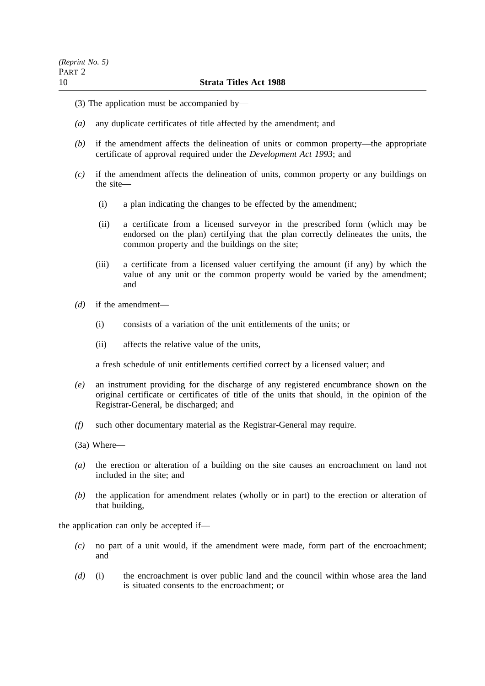- (3) The application must be accompanied by—
- *(a)* any duplicate certificates of title affected by the amendment; and
- *(b)* if the amendment affects the delineation of units or common property—the appropriate certificate of approval required under the *Development Act 1993*; and
- *(c)* if the amendment affects the delineation of units, common property or any buildings on the site—
	- (i) a plan indicating the changes to be effected by the amendment;
	- (ii) a certificate from a licensed surveyor in the prescribed form (which may be endorsed on the plan) certifying that the plan correctly delineates the units, the common property and the buildings on the site;
	- (iii) a certificate from a licensed valuer certifying the amount (if any) by which the value of any unit or the common property would be varied by the amendment; and
- *(d)* if the amendment—
	- (i) consists of a variation of the unit entitlements of the units; or
	- (ii) affects the relative value of the units,

a fresh schedule of unit entitlements certified correct by a licensed valuer; and

- *(e)* an instrument providing for the discharge of any registered encumbrance shown on the original certificate or certificates of title of the units that should, in the opinion of the Registrar-General, be discharged; and
- *(f)* such other documentary material as the Registrar-General may require.
- (3a) Where—
- *(a)* the erection or alteration of a building on the site causes an encroachment on land not included in the site; and
- *(b)* the application for amendment relates (wholly or in part) to the erection or alteration of that building,

the application can only be accepted if—

- *(c)* no part of a unit would, if the amendment were made, form part of the encroachment; and
- *(d)* (i) the encroachment is over public land and the council within whose area the land is situated consents to the encroachment; or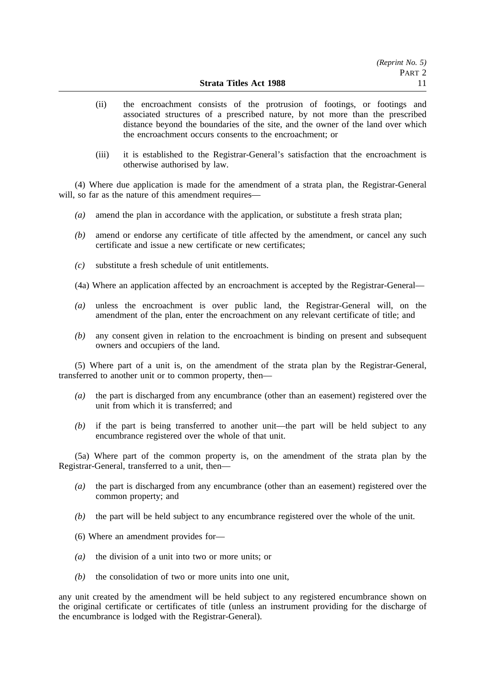- (ii) the encroachment consists of the protrusion of footings, or footings and associated structures of a prescribed nature, by not more than the prescribed distance beyond the boundaries of the site, and the owner of the land over which the encroachment occurs consents to the encroachment; or
- (iii) it is established to the Registrar-General's satisfaction that the encroachment is otherwise authorised by law.

(4) Where due application is made for the amendment of a strata plan, the Registrar-General will, so far as the nature of this amendment requires—

- *(a)* amend the plan in accordance with the application, or substitute a fresh strata plan;
- *(b)* amend or endorse any certificate of title affected by the amendment, or cancel any such certificate and issue a new certificate or new certificates;
- *(c)* substitute a fresh schedule of unit entitlements.
- (4a) Where an application affected by an encroachment is accepted by the Registrar-General—
- *(a)* unless the encroachment is over public land, the Registrar-General will, on the amendment of the plan, enter the encroachment on any relevant certificate of title; and
- *(b)* any consent given in relation to the encroachment is binding on present and subsequent owners and occupiers of the land.

(5) Where part of a unit is, on the amendment of the strata plan by the Registrar-General, transferred to another unit or to common property, then—

- *(a)* the part is discharged from any encumbrance (other than an easement) registered over the unit from which it is transferred; and
- *(b)* if the part is being transferred to another unit—the part will be held subject to any encumbrance registered over the whole of that unit.

(5a) Where part of the common property is, on the amendment of the strata plan by the Registrar-General, transferred to a unit, then—

- *(a)* the part is discharged from any encumbrance (other than an easement) registered over the common property; and
- *(b)* the part will be held subject to any encumbrance registered over the whole of the unit.
- (6) Where an amendment provides for—
- *(a)* the division of a unit into two or more units; or
- *(b)* the consolidation of two or more units into one unit,

any unit created by the amendment will be held subject to any registered encumbrance shown on the original certificate or certificates of title (unless an instrument providing for the discharge of the encumbrance is lodged with the Registrar-General).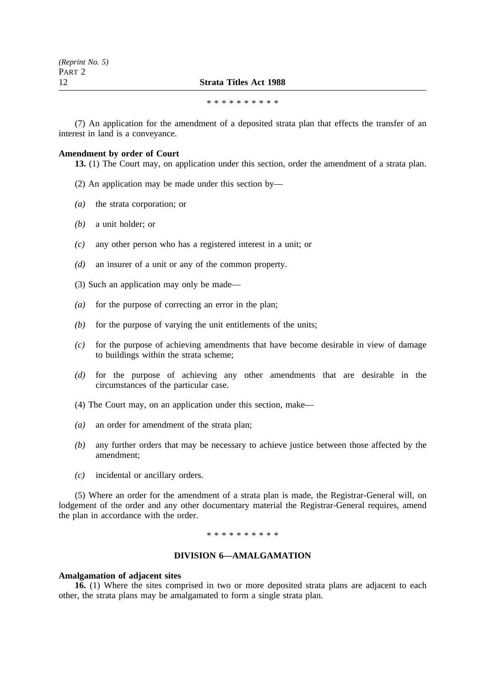#### 12 **Strata Titles Act 1988**

\*\*\*\*\*\*\*\*\*\*

(7) An application for the amendment of a deposited strata plan that effects the transfer of an interest in land is a conveyance.

### **Amendment by order of Court**

**13.** (1) The Court may, on application under this section, order the amendment of a strata plan.

- (2) An application may be made under this section by—
- *(a)* the strata corporation; or
- *(b)* a unit holder; or
- *(c)* any other person who has a registered interest in a unit; or
- *(d)* an insurer of a unit or any of the common property.
- (3) Such an application may only be made—
- *(a)* for the purpose of correcting an error in the plan;
- *(b)* for the purpose of varying the unit entitlements of the units;
- *(c)* for the purpose of achieving amendments that have become desirable in view of damage to buildings within the strata scheme;
- *(d)* for the purpose of achieving any other amendments that are desirable in the circumstances of the particular case.
- (4) The Court may, on an application under this section, make—
- *(a)* an order for amendment of the strata plan;
- *(b)* any further orders that may be necessary to achieve justice between those affected by the amendment;
- *(c)* incidental or ancillary orders.

(5) Where an order for the amendment of a strata plan is made, the Registrar-General will, on lodgement of the order and any other documentary material the Registrar-General requires, amend the plan in accordance with the order.

\*\*\*\*\*\*\*\*\*\*

## **DIVISION 6—AMALGAMATION**

#### **Amalgamation of adjacent sites**

**16.** (1) Where the sites comprised in two or more deposited strata plans are adjacent to each other, the strata plans may be amalgamated to form a single strata plan.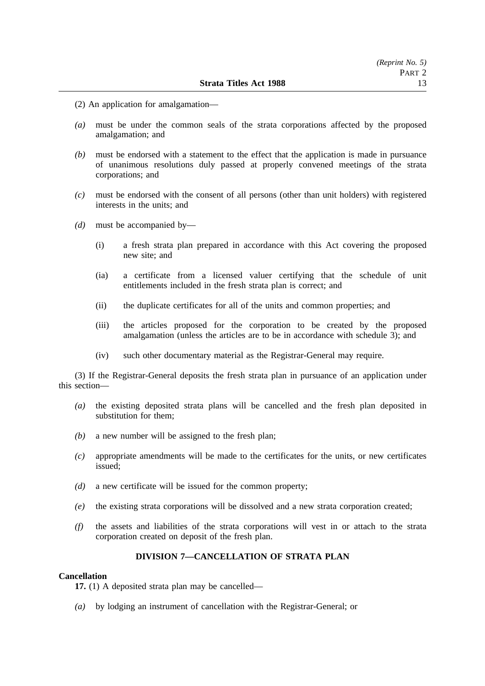- (2) An application for amalgamation—
- *(a)* must be under the common seals of the strata corporations affected by the proposed amalgamation; and
- *(b)* must be endorsed with a statement to the effect that the application is made in pursuance of unanimous resolutions duly passed at properly convened meetings of the strata corporations; and
- *(c)* must be endorsed with the consent of all persons (other than unit holders) with registered interests in the units; and
- *(d)* must be accompanied by—
	- (i) a fresh strata plan prepared in accordance with this Act covering the proposed new site; and
	- (ia) a certificate from a licensed valuer certifying that the schedule of unit entitlements included in the fresh strata plan is correct; and
	- (ii) the duplicate certificates for all of the units and common properties; and
	- (iii) the articles proposed for the corporation to be created by the proposed amalgamation (unless the articles are to be in accordance with schedule 3); and
	- (iv) such other documentary material as the Registrar-General may require.

(3) If the Registrar-General deposits the fresh strata plan in pursuance of an application under this section—

- *(a)* the existing deposited strata plans will be cancelled and the fresh plan deposited in substitution for them;
- *(b)* a new number will be assigned to the fresh plan;
- *(c)* appropriate amendments will be made to the certificates for the units, or new certificates issued;
- *(d)* a new certificate will be issued for the common property;
- *(e)* the existing strata corporations will be dissolved and a new strata corporation created;
- *(f)* the assets and liabilities of the strata corporations will vest in or attach to the strata corporation created on deposit of the fresh plan.

## **DIVISION 7—CANCELLATION OF STRATA PLAN**

## **Cancellation**

**17.** (1) A deposited strata plan may be cancelled—

*(a)* by lodging an instrument of cancellation with the Registrar-General; or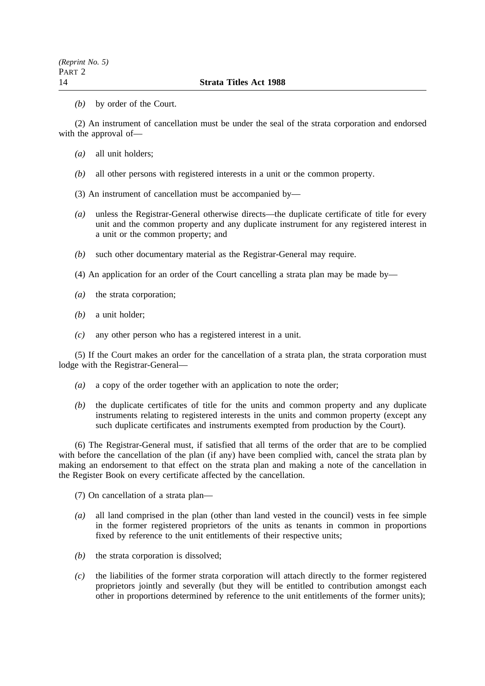*(b)* by order of the Court.

(2) An instrument of cancellation must be under the seal of the strata corporation and endorsed with the approval of—

- *(a)* all unit holders;
- *(b)* all other persons with registered interests in a unit or the common property.
- (3) An instrument of cancellation must be accompanied by—
- *(a)* unless the Registrar-General otherwise directs—the duplicate certificate of title for every unit and the common property and any duplicate instrument for any registered interest in a unit or the common property; and
- *(b)* such other documentary material as the Registrar-General may require.

(4) An application for an order of the Court cancelling a strata plan may be made by—

- *(a)* the strata corporation;
- *(b)* a unit holder;
- *(c)* any other person who has a registered interest in a unit.

(5) If the Court makes an order for the cancellation of a strata plan, the strata corporation must lodge with the Registrar-General—

- *(a)* a copy of the order together with an application to note the order;
- *(b)* the duplicate certificates of title for the units and common property and any duplicate instruments relating to registered interests in the units and common property (except any such duplicate certificates and instruments exempted from production by the Court).

(6) The Registrar-General must, if satisfied that all terms of the order that are to be complied with before the cancellation of the plan (if any) have been complied with, cancel the strata plan by making an endorsement to that effect on the strata plan and making a note of the cancellation in the Register Book on every certificate affected by the cancellation.

(7) On cancellation of a strata plan—

- *(a)* all land comprised in the plan (other than land vested in the council) vests in fee simple in the former registered proprietors of the units as tenants in common in proportions fixed by reference to the unit entitlements of their respective units;
- *(b)* the strata corporation is dissolved;
- *(c)* the liabilities of the former strata corporation will attach directly to the former registered proprietors jointly and severally (but they will be entitled to contribution amongst each other in proportions determined by reference to the unit entitlements of the former units);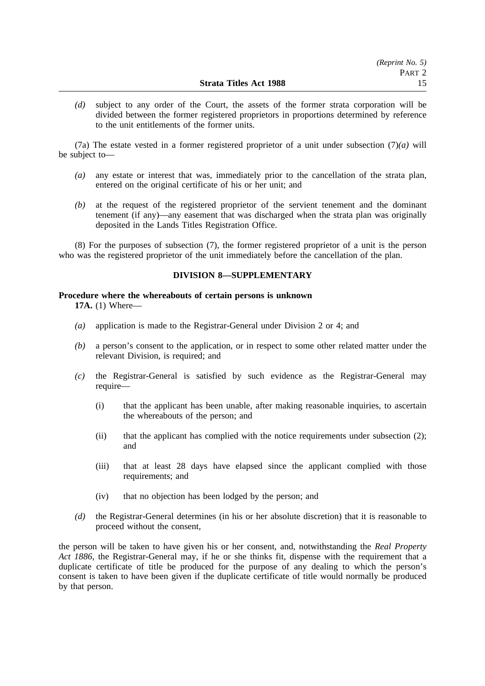*(d)* subject to any order of the Court, the assets of the former strata corporation will be divided between the former registered proprietors in proportions determined by reference to the unit entitlements of the former units.

(7a) The estate vested in a former registered proprietor of a unit under subsection (7)*(a)* will be subject to—

- *(a)* any estate or interest that was, immediately prior to the cancellation of the strata plan, entered on the original certificate of his or her unit; and
- *(b)* at the request of the registered proprietor of the servient tenement and the dominant tenement (if any)—any easement that was discharged when the strata plan was originally deposited in the Lands Titles Registration Office.

(8) For the purposes of subsection (7), the former registered proprietor of a unit is the person who was the registered proprietor of the unit immediately before the cancellation of the plan.

## **DIVISION 8—SUPPLEMENTARY**

## **Procedure where the whereabouts of certain persons is unknown**

**17A.** (1) Where—

- *(a)* application is made to the Registrar-General under Division 2 or 4; and
- *(b)* a person's consent to the application, or in respect to some other related matter under the relevant Division, is required; and
- *(c)* the Registrar-General is satisfied by such evidence as the Registrar-General may require—
	- (i) that the applicant has been unable, after making reasonable inquiries, to ascertain the whereabouts of the person; and
	- (ii) that the applicant has complied with the notice requirements under subsection (2); and
	- (iii) that at least 28 days have elapsed since the applicant complied with those requirements; and
	- (iv) that no objection has been lodged by the person; and
- *(d)* the Registrar-General determines (in his or her absolute discretion) that it is reasonable to proceed without the consent,

the person will be taken to have given his or her consent, and, notwithstanding the *Real Property Act 1886*, the Registrar-General may, if he or she thinks fit, dispense with the requirement that a duplicate certificate of title be produced for the purpose of any dealing to which the person's consent is taken to have been given if the duplicate certificate of title would normally be produced by that person.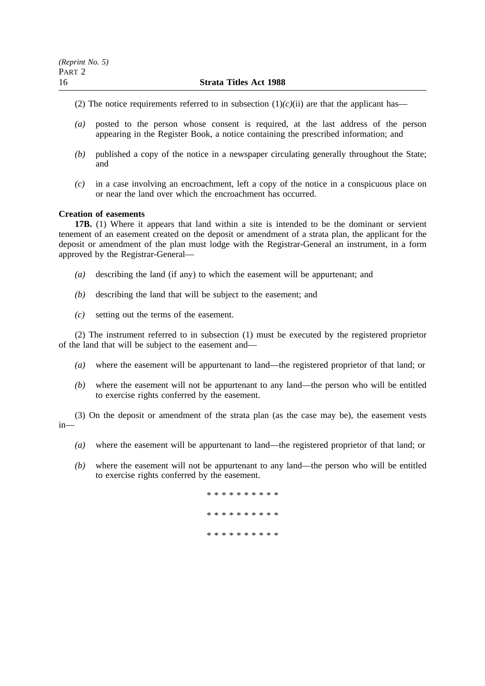#### 16 **Strata Titles Act 1988**

- (2) The notice requirements referred to in subsection  $(1)/(c)(ii)$  are that the applicant has—
- *(a)* posted to the person whose consent is required, at the last address of the person appearing in the Register Book, a notice containing the prescribed information; and
- *(b)* published a copy of the notice in a newspaper circulating generally throughout the State; and
- *(c)* in a case involving an encroachment, left a copy of the notice in a conspicuous place on or near the land over which the encroachment has occurred.

## **Creation of easements**

**17B.** (1) Where it appears that land within a site is intended to be the dominant or servient tenement of an easement created on the deposit or amendment of a strata plan, the applicant for the deposit or amendment of the plan must lodge with the Registrar-General an instrument, in a form approved by the Registrar-General—

- *(a)* describing the land (if any) to which the easement will be appurtenant; and
- *(b)* describing the land that will be subject to the easement; and
- *(c)* setting out the terms of the easement.

(2) The instrument referred to in subsection (1) must be executed by the registered proprietor of the land that will be subject to the easement and—

- *(a)* where the easement will be appurtenant to land—the registered proprietor of that land; or
- *(b)* where the easement will not be appurtenant to any land—the person who will be entitled to exercise rights conferred by the easement.

(3) On the deposit or amendment of the strata plan (as the case may be), the easement vests in—

- *(a)* where the easement will be appurtenant to land—the registered proprietor of that land; or
- *(b)* where the easement will not be appurtenant to any land—the person who will be entitled to exercise rights conferred by the easement.

\*\*\*\*\*\*\*\*\*\* \*\*\*\*\*\*\*\*\*\* \*\*\*\*\*\*\*\*\*\*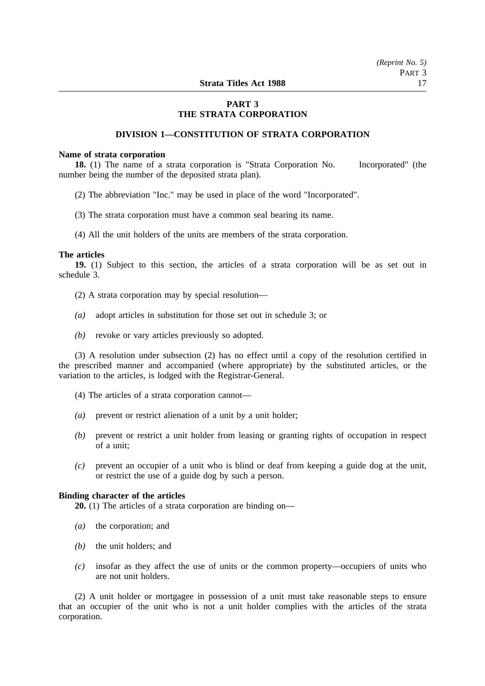## **PART 3 THE STRATA CORPORATION**

## **DIVISION 1—CONSTITUTION OF STRATA CORPORATION**

#### **Name of strata corporation**

**18.** (1) The name of a strata corporation is "Strata Corporation No. Incorporated" (the number being the number of the deposited strata plan).

- (2) The abbreviation "Inc." may be used in place of the word "Incorporated".
- (3) The strata corporation must have a common seal bearing its name.
- (4) All the unit holders of the units are members of the strata corporation.

#### **The articles**

**19.** (1) Subject to this section, the articles of a strata corporation will be as set out in schedule 3.

- (2) A strata corporation may by special resolution—
- *(a)* adopt articles in substitution for those set out in schedule 3; or
- *(b)* revoke or vary articles previously so adopted.

(3) A resolution under subsection (2) has no effect until a copy of the resolution certified in the prescribed manner and accompanied (where appropriate) by the substituted articles, or the variation to the articles, is lodged with the Registrar-General.

- (4) The articles of a strata corporation cannot—
- *(a)* prevent or restrict alienation of a unit by a unit holder;
- *(b)* prevent or restrict a unit holder from leasing or granting rights of occupation in respect of a unit;
- *(c)* prevent an occupier of a unit who is blind or deaf from keeping a guide dog at the unit, or restrict the use of a guide dog by such a person.

#### **Binding character of the articles**

**20.** (1) The articles of a strata corporation are binding on—

- *(a)* the corporation; and
- *(b)* the unit holders; and
- *(c)* insofar as they affect the use of units or the common property—occupiers of units who are not unit holders.

(2) A unit holder or mortgagee in possession of a unit must take reasonable steps to ensure that an occupier of the unit who is not a unit holder complies with the articles of the strata corporation.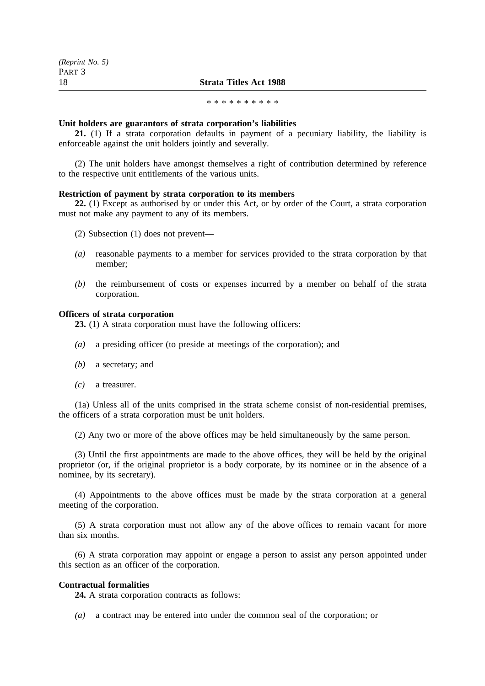#### \*\*\*\*\*\*\*\*\*\*\*\*\*\*\*\*\*

#### **Unit holders are guarantors of strata corporation's liabilities**

**21.** (1) If a strata corporation defaults in payment of a pecuniary liability, the liability is enforceable against the unit holders jointly and severally.

(2) The unit holders have amongst themselves a right of contribution determined by reference to the respective unit entitlements of the various units.

## **Restriction of payment by strata corporation to its members**

**22.** (1) Except as authorised by or under this Act, or by order of the Court, a strata corporation must not make any payment to any of its members.

- (2) Subsection (1) does not prevent—
- *(a)* reasonable payments to a member for services provided to the strata corporation by that member;
- *(b)* the reimbursement of costs or expenses incurred by a member on behalf of the strata corporation.

## **Officers of strata corporation**

**23.** (1) A strata corporation must have the following officers:

- *(a)* a presiding officer (to preside at meetings of the corporation); and
- *(b)* a secretary; and
- *(c)* a treasurer.

(1a) Unless all of the units comprised in the strata scheme consist of non-residential premises, the officers of a strata corporation must be unit holders.

(2) Any two or more of the above offices may be held simultaneously by the same person.

(3) Until the first appointments are made to the above offices, they will be held by the original proprietor (or, if the original proprietor is a body corporate, by its nominee or in the absence of a nominee, by its secretary).

(4) Appointments to the above offices must be made by the strata corporation at a general meeting of the corporation.

(5) A strata corporation must not allow any of the above offices to remain vacant for more than six months.

(6) A strata corporation may appoint or engage a person to assist any person appointed under this section as an officer of the corporation.

#### **Contractual formalities**

**24.** A strata corporation contracts as follows:

*(a)* a contract may be entered into under the common seal of the corporation; or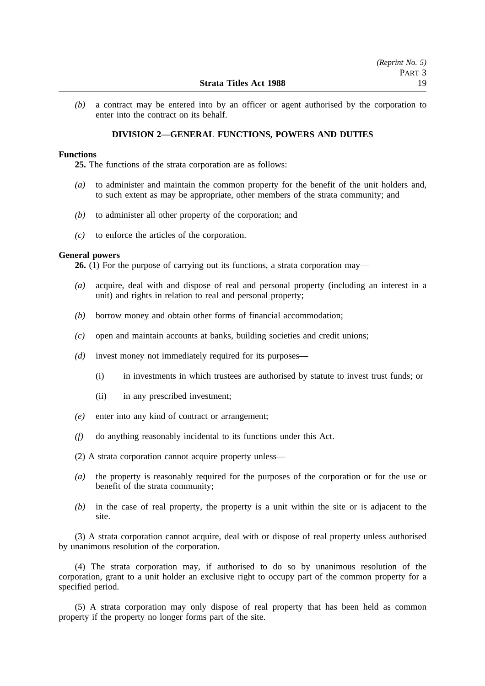*(b)* a contract may be entered into by an officer or agent authorised by the corporation to enter into the contract on its behalf.

#### **DIVISION 2—GENERAL FUNCTIONS, POWERS AND DUTIES**

#### **Functions**

**25.** The functions of the strata corporation are as follows:

- *(a)* to administer and maintain the common property for the benefit of the unit holders and, to such extent as may be appropriate, other members of the strata community; and
- *(b)* to administer all other property of the corporation; and
- *(c)* to enforce the articles of the corporation.

## **General powers**

**26.** (1) For the purpose of carrying out its functions, a strata corporation may—

- *(a)* acquire, deal with and dispose of real and personal property (including an interest in a unit) and rights in relation to real and personal property;
- *(b)* borrow money and obtain other forms of financial accommodation;
- *(c)* open and maintain accounts at banks, building societies and credit unions;
- *(d)* invest money not immediately required for its purposes—
	- (i) in investments in which trustees are authorised by statute to invest trust funds; or
	- (ii) in any prescribed investment;
- *(e)* enter into any kind of contract or arrangement;
- *(f)* do anything reasonably incidental to its functions under this Act.

(2) A strata corporation cannot acquire property unless—

- *(a)* the property is reasonably required for the purposes of the corporation or for the use or benefit of the strata community;
- *(b)* in the case of real property, the property is a unit within the site or is adjacent to the site.

(3) A strata corporation cannot acquire, deal with or dispose of real property unless authorised by unanimous resolution of the corporation.

(4) The strata corporation may, if authorised to do so by unanimous resolution of the corporation, grant to a unit holder an exclusive right to occupy part of the common property for a specified period.

(5) A strata corporation may only dispose of real property that has been held as common property if the property no longer forms part of the site.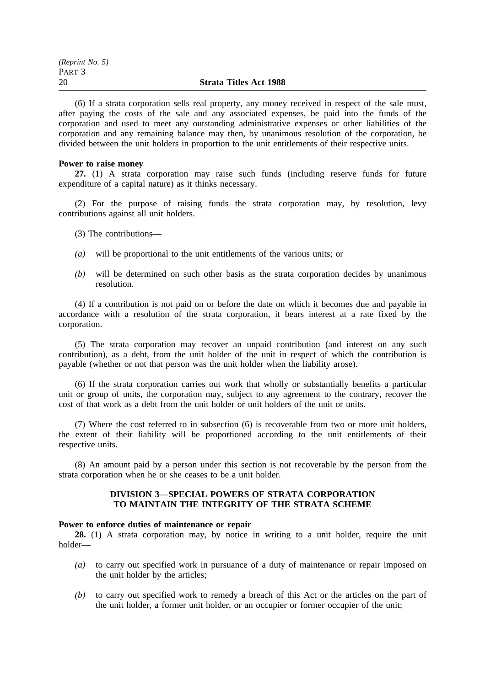| (Reprint No. 5) |                               |
|-----------------|-------------------------------|
| Part 3          |                               |
| 20              | <b>Strata Titles Act 1988</b> |

(6) If a strata corporation sells real property, any money received in respect of the sale must, after paying the costs of the sale and any associated expenses, be paid into the funds of the corporation and used to meet any outstanding administrative expenses or other liabilities of the corporation and any remaining balance may then, by unanimous resolution of the corporation, be divided between the unit holders in proportion to the unit entitlements of their respective units.

#### **Power to raise money**

**27.** (1) A strata corporation may raise such funds (including reserve funds for future expenditure of a capital nature) as it thinks necessary.

(2) For the purpose of raising funds the strata corporation may, by resolution, levy contributions against all unit holders.

- (3) The contributions—
- *(a)* will be proportional to the unit entitlements of the various units; or
- *(b)* will be determined on such other basis as the strata corporation decides by unanimous resolution.

(4) If a contribution is not paid on or before the date on which it becomes due and payable in accordance with a resolution of the strata corporation, it bears interest at a rate fixed by the corporation.

(5) The strata corporation may recover an unpaid contribution (and interest on any such contribution), as a debt, from the unit holder of the unit in respect of which the contribution is payable (whether or not that person was the unit holder when the liability arose).

(6) If the strata corporation carries out work that wholly or substantially benefits a particular unit or group of units, the corporation may, subject to any agreement to the contrary, recover the cost of that work as a debt from the unit holder or unit holders of the unit or units.

(7) Where the cost referred to in subsection (6) is recoverable from two or more unit holders, the extent of their liability will be proportioned according to the unit entitlements of their respective units.

(8) An amount paid by a person under this section is not recoverable by the person from the strata corporation when he or she ceases to be a unit holder.

## **DIVISION 3—SPECIAL POWERS OF STRATA CORPORATION TO MAINTAIN THE INTEGRITY OF THE STRATA SCHEME**

#### **Power to enforce duties of maintenance or repair**

**28.** (1) A strata corporation may, by notice in writing to a unit holder, require the unit holder—

- *(a)* to carry out specified work in pursuance of a duty of maintenance or repair imposed on the unit holder by the articles;
- *(b)* to carry out specified work to remedy a breach of this Act or the articles on the part of the unit holder, a former unit holder, or an occupier or former occupier of the unit;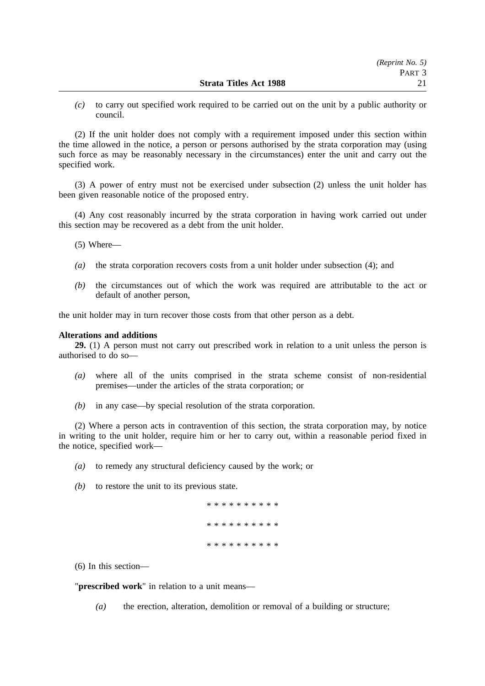*(c)* to carry out specified work required to be carried out on the unit by a public authority or council.

(2) If the unit holder does not comply with a requirement imposed under this section within the time allowed in the notice, a person or persons authorised by the strata corporation may (using such force as may be reasonably necessary in the circumstances) enter the unit and carry out the specified work.

(3) A power of entry must not be exercised under subsection (2) unless the unit holder has been given reasonable notice of the proposed entry.

(4) Any cost reasonably incurred by the strata corporation in having work carried out under this section may be recovered as a debt from the unit holder.

(5) Where—

- *(a)* the strata corporation recovers costs from a unit holder under subsection (4); and
- *(b)* the circumstances out of which the work was required are attributable to the act or default of another person,

the unit holder may in turn recover those costs from that other person as a debt.

#### **Alterations and additions**

**29.** (1) A person must not carry out prescribed work in relation to a unit unless the person is authorised to do so—

- *(a)* where all of the units comprised in the strata scheme consist of non-residential premises—under the articles of the strata corporation; or
- *(b)* in any case—by special resolution of the strata corporation.

(2) Where a person acts in contravention of this section, the strata corporation may, by notice in writing to the unit holder, require him or her to carry out, within a reasonable period fixed in the notice, specified work—

- *(a)* to remedy any structural deficiency caused by the work; or
- *(b)* to restore the unit to its previous state.

|  |  |  |  | * * * * * * * * * * |  |
|--|--|--|--|---------------------|--|
|  |  |  |  | * * * * * * * * * * |  |
|  |  |  |  | * * * * * * * * * * |  |

(6) In this section—

"**prescribed work**" in relation to a unit means—

*(a)* the erection, alteration, demolition or removal of a building or structure;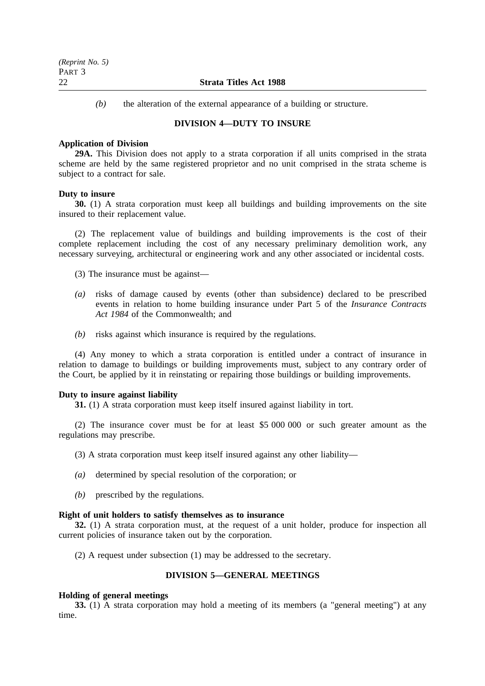#### 22 **Strata Titles Act 1988**

*(b)* the alteration of the external appearance of a building or structure.

## **DIVISION 4—DUTY TO INSURE**

#### **Application of Division**

**29A.** This Division does not apply to a strata corporation if all units comprised in the strata scheme are held by the same registered proprietor and no unit comprised in the strata scheme is subject to a contract for sale.

#### **Duty to insure**

**30.** (1) A strata corporation must keep all buildings and building improvements on the site insured to their replacement value.

(2) The replacement value of buildings and building improvements is the cost of their complete replacement including the cost of any necessary preliminary demolition work, any necessary surveying, architectural or engineering work and any other associated or incidental costs.

(3) The insurance must be against—

- *(a)* risks of damage caused by events (other than subsidence) declared to be prescribed events in relation to home building insurance under Part 5 of the *Insurance Contracts Act 1984* of the Commonwealth; and
- *(b)* risks against which insurance is required by the regulations.

(4) Any money to which a strata corporation is entitled under a contract of insurance in relation to damage to buildings or building improvements must, subject to any contrary order of the Court, be applied by it in reinstating or repairing those buildings or building improvements.

#### **Duty to insure against liability**

**31.** (1) A strata corporation must keep itself insured against liability in tort.

(2) The insurance cover must be for at least \$5 000 000 or such greater amount as the regulations may prescribe.

(3) A strata corporation must keep itself insured against any other liability—

- *(a)* determined by special resolution of the corporation; or
- *(b)* prescribed by the regulations.

## **Right of unit holders to satisfy themselves as to insurance**

**32.** (1) A strata corporation must, at the request of a unit holder, produce for inspection all current policies of insurance taken out by the corporation.

(2) A request under subsection (1) may be addressed to the secretary.

## **DIVISION 5—GENERAL MEETINGS**

#### **Holding of general meetings**

**33.** (1) A strata corporation may hold a meeting of its members (a "general meeting") at any time.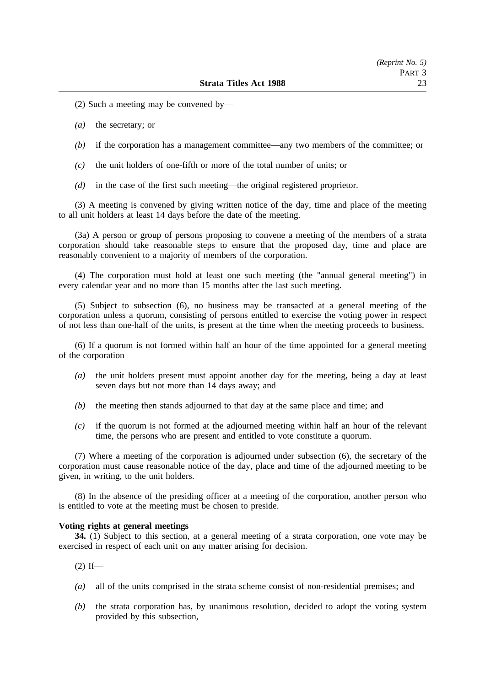- (2) Such a meeting may be convened by—
- *(a)* the secretary; or
- *(b)* if the corporation has a management committee—any two members of the committee; or
- *(c)* the unit holders of one-fifth or more of the total number of units; or
- *(d)* in the case of the first such meeting—the original registered proprietor.

(3) A meeting is convened by giving written notice of the day, time and place of the meeting to all unit holders at least 14 days before the date of the meeting.

(3a) A person or group of persons proposing to convene a meeting of the members of a strata corporation should take reasonable steps to ensure that the proposed day, time and place are reasonably convenient to a majority of members of the corporation.

(4) The corporation must hold at least one such meeting (the "annual general meeting") in every calendar year and no more than 15 months after the last such meeting.

(5) Subject to subsection (6), no business may be transacted at a general meeting of the corporation unless a quorum, consisting of persons entitled to exercise the voting power in respect of not less than one-half of the units, is present at the time when the meeting proceeds to business.

(6) If a quorum is not formed within half an hour of the time appointed for a general meeting of the corporation—

- *(a)* the unit holders present must appoint another day for the meeting, being a day at least seven days but not more than 14 days away; and
- *(b)* the meeting then stands adjourned to that day at the same place and time; and
- *(c)* if the quorum is not formed at the adjourned meeting within half an hour of the relevant time, the persons who are present and entitled to vote constitute a quorum.

(7) Where a meeting of the corporation is adjourned under subsection (6), the secretary of the corporation must cause reasonable notice of the day, place and time of the adjourned meeting to be given, in writing, to the unit holders.

(8) In the absence of the presiding officer at a meeting of the corporation, another person who is entitled to vote at the meeting must be chosen to preside.

#### **Voting rights at general meetings**

**34.** (1) Subject to this section, at a general meeting of a strata corporation, one vote may be exercised in respect of each unit on any matter arising for decision.

 $(2)$  If—

- *(a)* all of the units comprised in the strata scheme consist of non-residential premises; and
- *(b)* the strata corporation has, by unanimous resolution, decided to adopt the voting system provided by this subsection,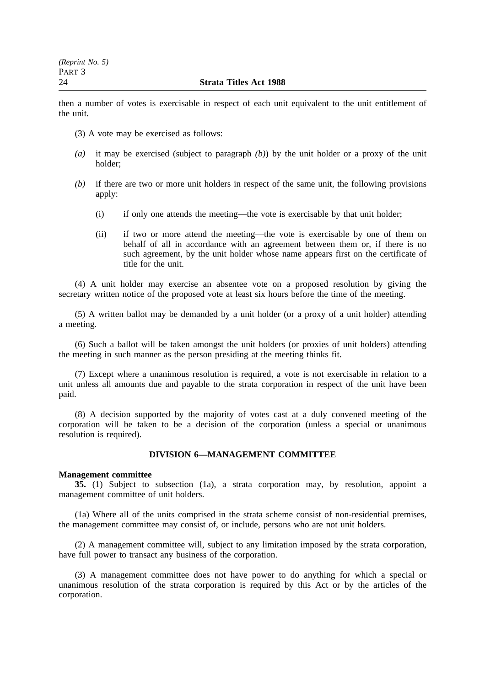### 24 **Strata Titles Act 1988**

then a number of votes is exercisable in respect of each unit equivalent to the unit entitlement of the unit.

- (3) A vote may be exercised as follows:
- *(a)* it may be exercised (subject to paragraph *(b)*) by the unit holder or a proxy of the unit holder;
- *(b)* if there are two or more unit holders in respect of the same unit, the following provisions apply:
	- (i) if only one attends the meeting—the vote is exercisable by that unit holder;
	- (ii) if two or more attend the meeting—the vote is exercisable by one of them on behalf of all in accordance with an agreement between them or, if there is no such agreement, by the unit holder whose name appears first on the certificate of title for the unit.

(4) A unit holder may exercise an absentee vote on a proposed resolution by giving the secretary written notice of the proposed vote at least six hours before the time of the meeting.

(5) A written ballot may be demanded by a unit holder (or a proxy of a unit holder) attending a meeting.

(6) Such a ballot will be taken amongst the unit holders (or proxies of unit holders) attending the meeting in such manner as the person presiding at the meeting thinks fit.

(7) Except where a unanimous resolution is required, a vote is not exercisable in relation to a unit unless all amounts due and payable to the strata corporation in respect of the unit have been paid.

(8) A decision supported by the majority of votes cast at a duly convened meeting of the corporation will be taken to be a decision of the corporation (unless a special or unanimous resolution is required).

## **DIVISION 6—MANAGEMENT COMMITTEE**

#### **Management committee**

**35.** (1) Subject to subsection (1a), a strata corporation may, by resolution, appoint a management committee of unit holders.

(1a) Where all of the units comprised in the strata scheme consist of non-residential premises, the management committee may consist of, or include, persons who are not unit holders.

(2) A management committee will, subject to any limitation imposed by the strata corporation, have full power to transact any business of the corporation.

(3) A management committee does not have power to do anything for which a special or unanimous resolution of the strata corporation is required by this Act or by the articles of the corporation.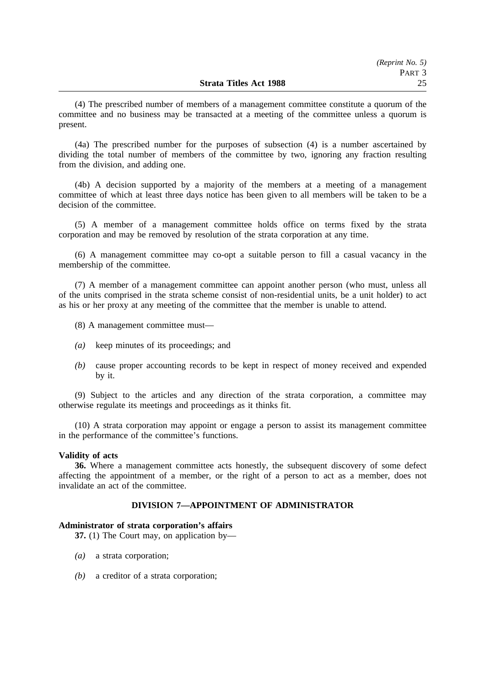(4) The prescribed number of members of a management committee constitute a quorum of the committee and no business may be transacted at a meeting of the committee unless a quorum is present.

(4a) The prescribed number for the purposes of subsection (4) is a number ascertained by dividing the total number of members of the committee by two, ignoring any fraction resulting from the division, and adding one.

(4b) A decision supported by a majority of the members at a meeting of a management committee of which at least three days notice has been given to all members will be taken to be a decision of the committee.

(5) A member of a management committee holds office on terms fixed by the strata corporation and may be removed by resolution of the strata corporation at any time.

(6) A management committee may co-opt a suitable person to fill a casual vacancy in the membership of the committee.

(7) A member of a management committee can appoint another person (who must, unless all of the units comprised in the strata scheme consist of non-residential units, be a unit holder) to act as his or her proxy at any meeting of the committee that the member is unable to attend.

- (8) A management committee must—
- *(a)* keep minutes of its proceedings; and
- *(b)* cause proper accounting records to be kept in respect of money received and expended by it.

(9) Subject to the articles and any direction of the strata corporation, a committee may otherwise regulate its meetings and proceedings as it thinks fit.

(10) A strata corporation may appoint or engage a person to assist its management committee in the performance of the committee's functions.

## **Validity of acts**

**36.** Where a management committee acts honestly, the subsequent discovery of some defect affecting the appointment of a member, or the right of a person to act as a member, does not invalidate an act of the committee.

## **DIVISION 7—APPOINTMENT OF ADMINISTRATOR**

#### **Administrator of strata corporation's affairs**

**37.** (1) The Court may, on application by—

- *(a)* a strata corporation;
- *(b)* a creditor of a strata corporation;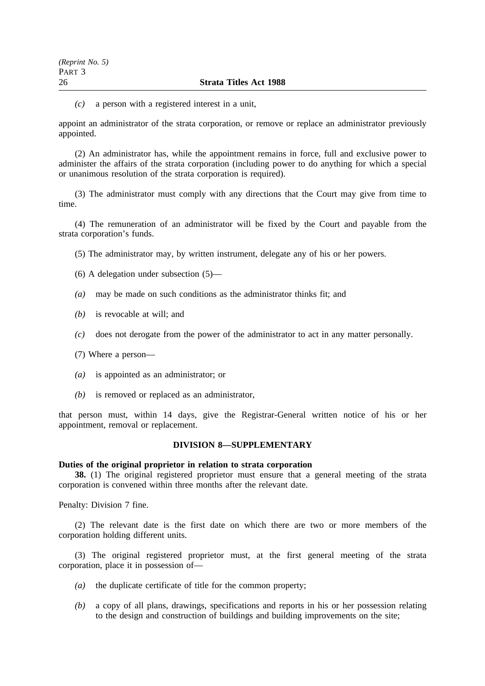#### 26 **Strata Titles Act 1988**

*(c)* a person with a registered interest in a unit,

appoint an administrator of the strata corporation, or remove or replace an administrator previously appointed.

(2) An administrator has, while the appointment remains in force, full and exclusive power to administer the affairs of the strata corporation (including power to do anything for which a special or unanimous resolution of the strata corporation is required).

(3) The administrator must comply with any directions that the Court may give from time to time.

(4) The remuneration of an administrator will be fixed by the Court and payable from the strata corporation's funds.

(5) The administrator may, by written instrument, delegate any of his or her powers.

(6) A delegation under subsection (5)—

- *(a)* may be made on such conditions as the administrator thinks fit; and
- *(b)* is revocable at will; and
- *(c)* does not derogate from the power of the administrator to act in any matter personally.
- (7) Where a person—
- *(a)* is appointed as an administrator; or
- *(b)* is removed or replaced as an administrator,

that person must, within 14 days, give the Registrar-General written notice of his or her appointment, removal or replacement.

## **DIVISION 8—SUPPLEMENTARY**

## **Duties of the original proprietor in relation to strata corporation**

**38.** (1) The original registered proprietor must ensure that a general meeting of the strata corporation is convened within three months after the relevant date.

Penalty: Division 7 fine.

(2) The relevant date is the first date on which there are two or more members of the corporation holding different units.

(3) The original registered proprietor must, at the first general meeting of the strata corporation, place it in possession of—

- *(a)* the duplicate certificate of title for the common property;
- *(b)* a copy of all plans, drawings, specifications and reports in his or her possession relating to the design and construction of buildings and building improvements on the site;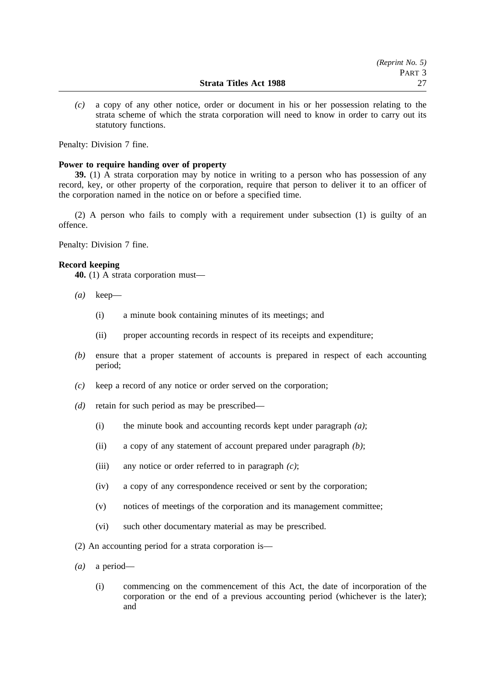*(c)* a copy of any other notice, order or document in his or her possession relating to the strata scheme of which the strata corporation will need to know in order to carry out its statutory functions.

Penalty: Division 7 fine.

## **Power to require handing over of property**

**39.** (1) A strata corporation may by notice in writing to a person who has possession of any record, key, or other property of the corporation, require that person to deliver it to an officer of the corporation named in the notice on or before a specified time.

(2) A person who fails to comply with a requirement under subsection (1) is guilty of an offence.

Penalty: Division 7 fine.

#### **Record keeping**

**40.** (1) A strata corporation must—

- *(a)* keep—
	- (i) a minute book containing minutes of its meetings; and
	- (ii) proper accounting records in respect of its receipts and expenditure;
- *(b)* ensure that a proper statement of accounts is prepared in respect of each accounting period;
- *(c)* keep a record of any notice or order served on the corporation;
- *(d)* retain for such period as may be prescribed—
	- (i) the minute book and accounting records kept under paragraph *(a)*;
	- (ii) a copy of any statement of account prepared under paragraph *(b)*;
	- (iii) any notice or order referred to in paragraph *(c)*;
	- (iv) a copy of any correspondence received or sent by the corporation;
	- (v) notices of meetings of the corporation and its management committee;
	- (vi) such other documentary material as may be prescribed.
- (2) An accounting period for a strata corporation is—
- *(a)* a period—
	- (i) commencing on the commencement of this Act, the date of incorporation of the corporation or the end of a previous accounting period (whichever is the later); and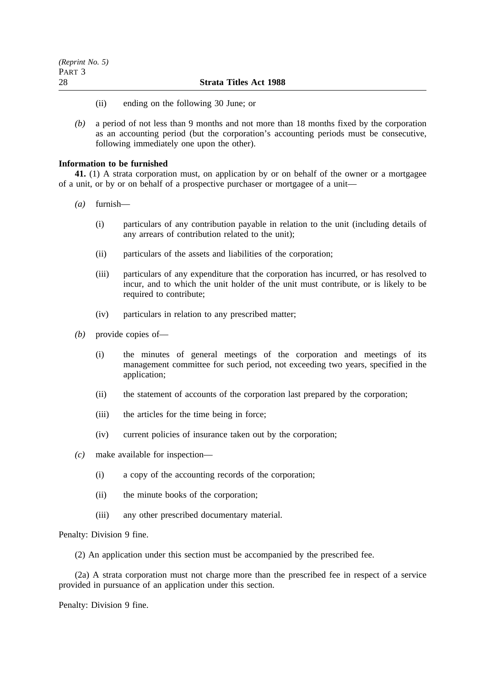- (ii) ending on the following 30 June; or
- *(b)* a period of not less than 9 months and not more than 18 months fixed by the corporation as an accounting period (but the corporation's accounting periods must be consecutive, following immediately one upon the other).

### **Information to be furnished**

**41.** (1) A strata corporation must, on application by or on behalf of the owner or a mortgagee of a unit, or by or on behalf of a prospective purchaser or mortgagee of a unit—

- *(a)* furnish—
	- (i) particulars of any contribution payable in relation to the unit (including details of any arrears of contribution related to the unit);
	- (ii) particulars of the assets and liabilities of the corporation;
	- (iii) particulars of any expenditure that the corporation has incurred, or has resolved to incur, and to which the unit holder of the unit must contribute, or is likely to be required to contribute;
	- (iv) particulars in relation to any prescribed matter;
- *(b)* provide copies of—
	- (i) the minutes of general meetings of the corporation and meetings of its management committee for such period, not exceeding two years, specified in the application;
	- (ii) the statement of accounts of the corporation last prepared by the corporation;
	- (iii) the articles for the time being in force;
	- (iv) current policies of insurance taken out by the corporation;
- *(c)* make available for inspection—
	- (i) a copy of the accounting records of the corporation;
	- (ii) the minute books of the corporation;
	- (iii) any other prescribed documentary material.

Penalty: Division 9 fine.

(2) An application under this section must be accompanied by the prescribed fee.

(2a) A strata corporation must not charge more than the prescribed fee in respect of a service provided in pursuance of an application under this section.

Penalty: Division 9 fine.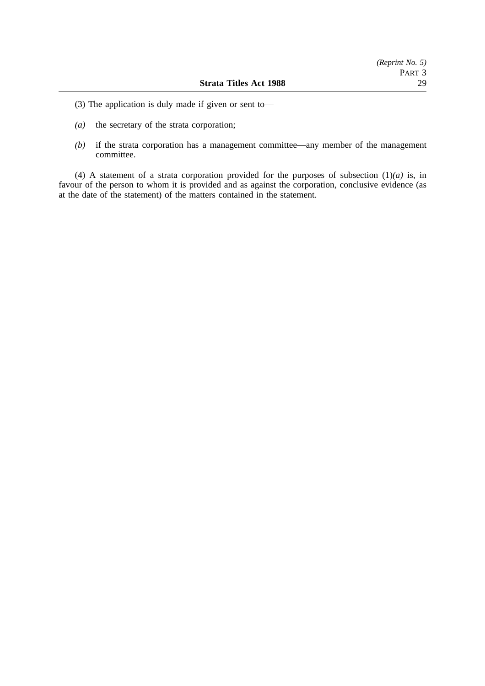- (3) The application is duly made if given or sent to—
- *(a)* the secretary of the strata corporation;
- *(b)* if the strata corporation has a management committee—any member of the management committee.

(4) A statement of a strata corporation provided for the purposes of subsection  $(1)(a)$  is, in favour of the person to whom it is provided and as against the corporation, conclusive evidence (as at the date of the statement) of the matters contained in the statement.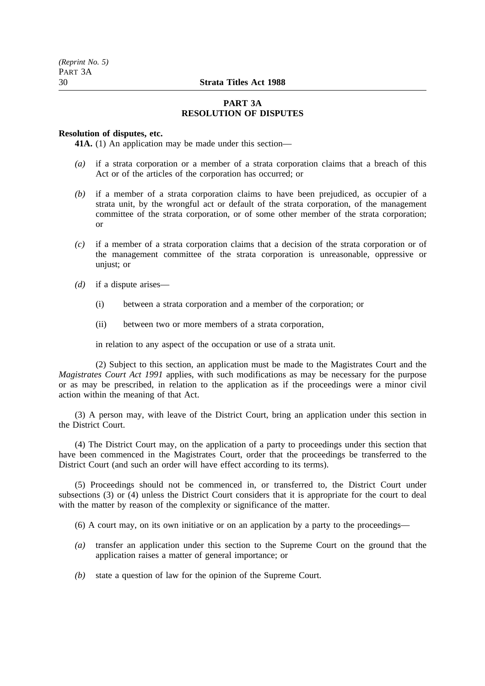## **PART 3A RESOLUTION OF DISPUTES**

## **Resolution of disputes, etc.**

**41A.** (1) An application may be made under this section—

- *(a)* if a strata corporation or a member of a strata corporation claims that a breach of this Act or of the articles of the corporation has occurred; or
- *(b)* if a member of a strata corporation claims to have been prejudiced, as occupier of a strata unit, by the wrongful act or default of the strata corporation, of the management committee of the strata corporation, or of some other member of the strata corporation; or
- *(c)* if a member of a strata corporation claims that a decision of the strata corporation or of the management committee of the strata corporation is unreasonable, oppressive or unjust; or
- *(d)* if a dispute arises—
	- (i) between a strata corporation and a member of the corporation; or
	- (ii) between two or more members of a strata corporation,

in relation to any aspect of the occupation or use of a strata unit.

(2) Subject to this section, an application must be made to the Magistrates Court and the *Magistrates Court Act 1991* applies, with such modifications as may be necessary for the purpose or as may be prescribed, in relation to the application as if the proceedings were a minor civil action within the meaning of that Act.

(3) A person may, with leave of the District Court, bring an application under this section in the District Court.

(4) The District Court may, on the application of a party to proceedings under this section that have been commenced in the Magistrates Court, order that the proceedings be transferred to the District Court (and such an order will have effect according to its terms).

(5) Proceedings should not be commenced in, or transferred to, the District Court under subsections (3) or (4) unless the District Court considers that it is appropriate for the court to deal with the matter by reason of the complexity or significance of the matter.

(6) A court may, on its own initiative or on an application by a party to the proceedings—

- *(a)* transfer an application under this section to the Supreme Court on the ground that the application raises a matter of general importance; or
- *(b)* state a question of law for the opinion of the Supreme Court.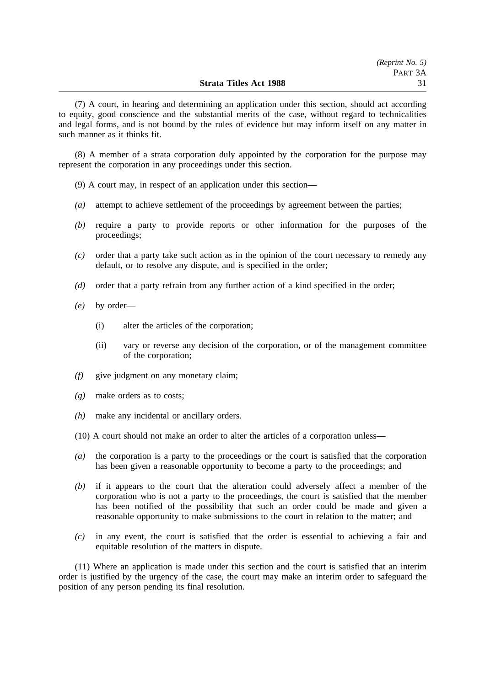(7) A court, in hearing and determining an application under this section, should act according to equity, good conscience and the substantial merits of the case, without regard to technicalities and legal forms, and is not bound by the rules of evidence but may inform itself on any matter in such manner as it thinks fit.

(8) A member of a strata corporation duly appointed by the corporation for the purpose may represent the corporation in any proceedings under this section.

(9) A court may, in respect of an application under this section—

- *(a)* attempt to achieve settlement of the proceedings by agreement between the parties;
- *(b)* require a party to provide reports or other information for the purposes of the proceedings;
- *(c)* order that a party take such action as in the opinion of the court necessary to remedy any default, or to resolve any dispute, and is specified in the order;
- *(d)* order that a party refrain from any further action of a kind specified in the order;
- *(e)* by order—
	- (i) alter the articles of the corporation;
	- (ii) vary or reverse any decision of the corporation, or of the management committee of the corporation;
- *(f)* give judgment on any monetary claim;
- *(g)* make orders as to costs;
- *(h)* make any incidental or ancillary orders.
- (10) A court should not make an order to alter the articles of a corporation unless—
- *(a)* the corporation is a party to the proceedings or the court is satisfied that the corporation has been given a reasonable opportunity to become a party to the proceedings; and
- *(b)* if it appears to the court that the alteration could adversely affect a member of the corporation who is not a party to the proceedings, the court is satisfied that the member has been notified of the possibility that such an order could be made and given a reasonable opportunity to make submissions to the court in relation to the matter; and
- *(c)* in any event, the court is satisfied that the order is essential to achieving a fair and equitable resolution of the matters in dispute.

(11) Where an application is made under this section and the court is satisfied that an interim order is justified by the urgency of the case, the court may make an interim order to safeguard the position of any person pending its final resolution.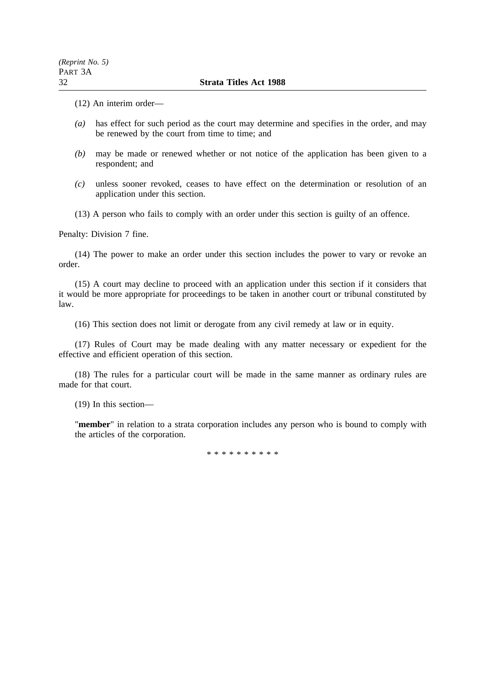(12) An interim order—

- *(a)* has effect for such period as the court may determine and specifies in the order, and may be renewed by the court from time to time; and
- *(b)* may be made or renewed whether or not notice of the application has been given to a respondent; and
- *(c)* unless sooner revoked, ceases to have effect on the determination or resolution of an application under this section.
- (13) A person who fails to comply with an order under this section is guilty of an offence.

Penalty: Division 7 fine.

(14) The power to make an order under this section includes the power to vary or revoke an order.

(15) A court may decline to proceed with an application under this section if it considers that it would be more appropriate for proceedings to be taken in another court or tribunal constituted by law.

(16) This section does not limit or derogate from any civil remedy at law or in equity.

(17) Rules of Court may be made dealing with any matter necessary or expedient for the effective and efficient operation of this section.

(18) The rules for a particular court will be made in the same manner as ordinary rules are made for that court.

(19) In this section—

"**member**" in relation to a strata corporation includes any person who is bound to comply with the articles of the corporation.

\*\*\*\*\*\*\*\*\*\*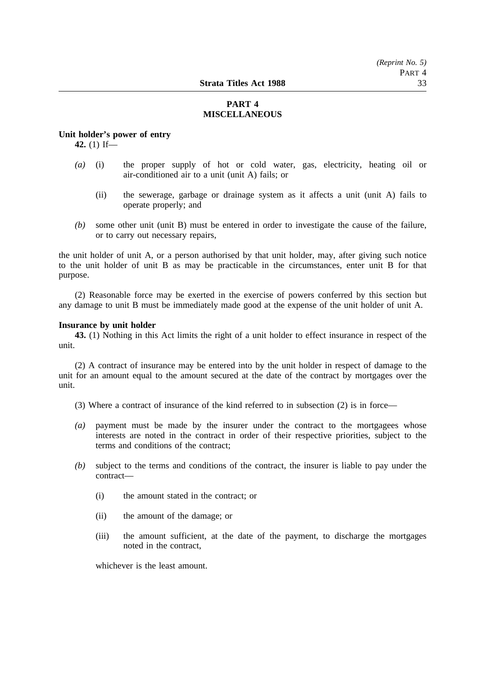## **PART 4 MISCELLANEOUS**

#### **Unit holder's power of entry**

**42.** (1) If—

- *(a)* (i) the proper supply of hot or cold water, gas, electricity, heating oil or air-conditioned air to a unit (unit A) fails; or
	- (ii) the sewerage, garbage or drainage system as it affects a unit (unit A) fails to operate properly; and
- *(b)* some other unit (unit B) must be entered in order to investigate the cause of the failure, or to carry out necessary repairs,

the unit holder of unit A, or a person authorised by that unit holder, may, after giving such notice to the unit holder of unit B as may be practicable in the circumstances, enter unit B for that purpose.

(2) Reasonable force may be exerted in the exercise of powers conferred by this section but any damage to unit B must be immediately made good at the expense of the unit holder of unit A.

## **Insurance by unit holder**

**43.** (1) Nothing in this Act limits the right of a unit holder to effect insurance in respect of the unit.

(2) A contract of insurance may be entered into by the unit holder in respect of damage to the unit for an amount equal to the amount secured at the date of the contract by mortgages over the unit.

(3) Where a contract of insurance of the kind referred to in subsection (2) is in force—

- *(a)* payment must be made by the insurer under the contract to the mortgagees whose interests are noted in the contract in order of their respective priorities, subject to the terms and conditions of the contract;
- *(b)* subject to the terms and conditions of the contract, the insurer is liable to pay under the contract—
	- (i) the amount stated in the contract; or
	- (ii) the amount of the damage; or
	- (iii) the amount sufficient, at the date of the payment, to discharge the mortgages noted in the contract,

whichever is the least amount.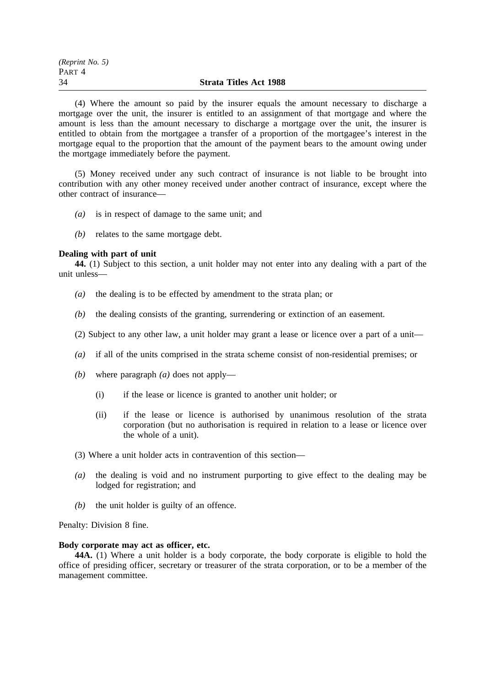| (Reprint No. 5) |                               |
|-----------------|-------------------------------|
| Part 4          |                               |
| 34              | <b>Strata Titles Act 1988</b> |

(4) Where the amount so paid by the insurer equals the amount necessary to discharge a mortgage over the unit, the insurer is entitled to an assignment of that mortgage and where the amount is less than the amount necessary to discharge a mortgage over the unit, the insurer is entitled to obtain from the mortgagee a transfer of a proportion of the mortgagee's interest in the mortgage equal to the proportion that the amount of the payment bears to the amount owing under the mortgage immediately before the payment.

(5) Money received under any such contract of insurance is not liable to be brought into contribution with any other money received under another contract of insurance, except where the other contract of insurance—

- *(a)* is in respect of damage to the same unit; and
- *(b)* relates to the same mortgage debt.

## **Dealing with part of unit**

**44.** (1) Subject to this section, a unit holder may not enter into any dealing with a part of the unit unless—

- *(a)* the dealing is to be effected by amendment to the strata plan; or
- *(b)* the dealing consists of the granting, surrendering or extinction of an easement.
- (2) Subject to any other law, a unit holder may grant a lease or licence over a part of a unit—
- *(a)* if all of the units comprised in the strata scheme consist of non-residential premises; or
- *(b)* where paragraph *(a)* does not apply—
	- (i) if the lease or licence is granted to another unit holder; or
	- (ii) if the lease or licence is authorised by unanimous resolution of the strata corporation (but no authorisation is required in relation to a lease or licence over the whole of a unit).
- (3) Where a unit holder acts in contravention of this section—
- *(a)* the dealing is void and no instrument purporting to give effect to the dealing may be lodged for registration; and
- *(b)* the unit holder is guilty of an offence.

Penalty: Division 8 fine.

## **Body corporate may act as officer, etc.**

**44A.** (1) Where a unit holder is a body corporate, the body corporate is eligible to hold the office of presiding officer, secretary or treasurer of the strata corporation, or to be a member of the management committee.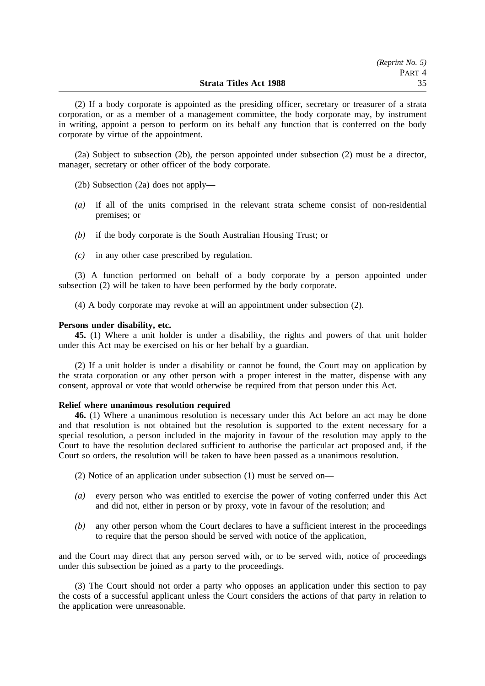(2) If a body corporate is appointed as the presiding officer, secretary or treasurer of a strata corporation, or as a member of a management committee, the body corporate may, by instrument in writing, appoint a person to perform on its behalf any function that is conferred on the body corporate by virtue of the appointment.

(2a) Subject to subsection (2b), the person appointed under subsection (2) must be a director, manager, secretary or other officer of the body corporate.

- (2b) Subsection (2a) does not apply—
- *(a)* if all of the units comprised in the relevant strata scheme consist of non-residential premises; or
- *(b)* if the body corporate is the South Australian Housing Trust; or
- *(c)* in any other case prescribed by regulation.

(3) A function performed on behalf of a body corporate by a person appointed under subsection (2) will be taken to have been performed by the body corporate.

(4) A body corporate may revoke at will an appointment under subsection (2).

## **Persons under disability, etc.**

**45.** (1) Where a unit holder is under a disability, the rights and powers of that unit holder under this Act may be exercised on his or her behalf by a guardian.

(2) If a unit holder is under a disability or cannot be found, the Court may on application by the strata corporation or any other person with a proper interest in the matter, dispense with any consent, approval or vote that would otherwise be required from that person under this Act.

## **Relief where unanimous resolution required**

**46.** (1) Where a unanimous resolution is necessary under this Act before an act may be done and that resolution is not obtained but the resolution is supported to the extent necessary for a special resolution, a person included in the majority in favour of the resolution may apply to the Court to have the resolution declared sufficient to authorise the particular act proposed and, if the Court so orders, the resolution will be taken to have been passed as a unanimous resolution.

- (2) Notice of an application under subsection (1) must be served on—
- *(a)* every person who was entitled to exercise the power of voting conferred under this Act and did not, either in person or by proxy, vote in favour of the resolution; and
- *(b)* any other person whom the Court declares to have a sufficient interest in the proceedings to require that the person should be served with notice of the application,

and the Court may direct that any person served with, or to be served with, notice of proceedings under this subsection be joined as a party to the proceedings.

(3) The Court should not order a party who opposes an application under this section to pay the costs of a successful applicant unless the Court considers the actions of that party in relation to the application were unreasonable.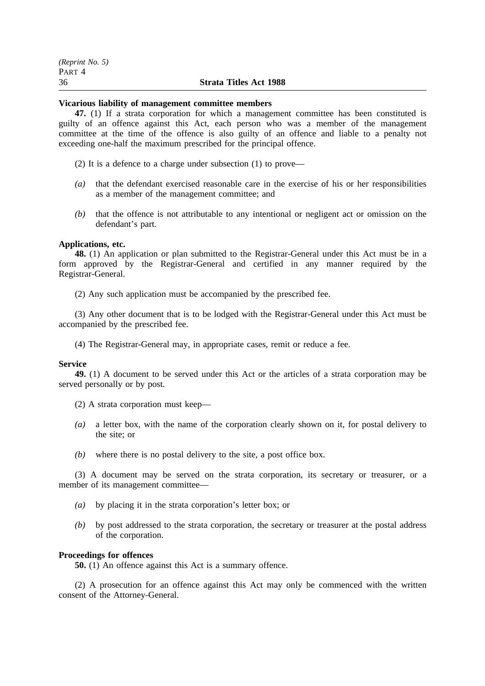| (Reprint No. 5) |                               |
|-----------------|-------------------------------|
| Part 4          |                               |
| 36              | <b>Strata Titles Act 1988</b> |

#### **Vicarious liability of management committee members**

**47.** (1) If a strata corporation for which a management committee has been constituted is guilty of an offence against this Act, each person who was a member of the management committee at the time of the offence is also guilty of an offence and liable to a penalty not exceeding one-half the maximum prescribed for the principal offence.

(2) It is a defence to a charge under subsection (1) to prove—

- *(a)* that the defendant exercised reasonable care in the exercise of his or her responsibilities as a member of the management committee; and
- *(b)* that the offence is not attributable to any intentional or negligent act or omission on the defendant's part.

#### **Applications, etc.**

**48.** (1) An application or plan submitted to the Registrar-General under this Act must be in a form approved by the Registrar-General and certified in any manner required by the Registrar-General.

(2) Any such application must be accompanied by the prescribed fee.

(3) Any other document that is to be lodged with the Registrar-General under this Act must be accompanied by the prescribed fee.

(4) The Registrar-General may, in appropriate cases, remit or reduce a fee.

#### **Service**

**49.** (1) A document to be served under this Act or the articles of a strata corporation may be served personally or by post.

- (2) A strata corporation must keep—
- *(a)* a letter box, with the name of the corporation clearly shown on it, for postal delivery to the site; or
- *(b)* where there is no postal delivery to the site, a post office box.

(3) A document may be served on the strata corporation, its secretary or treasurer, or a member of its management committee—

- *(a)* by placing it in the strata corporation's letter box; or
- *(b)* by post addressed to the strata corporation, the secretary or treasurer at the postal address of the corporation.

#### **Proceedings for offences**

**50.** (1) An offence against this Act is a summary offence.

(2) A prosecution for an offence against this Act may only be commenced with the written consent of the Attorney-General.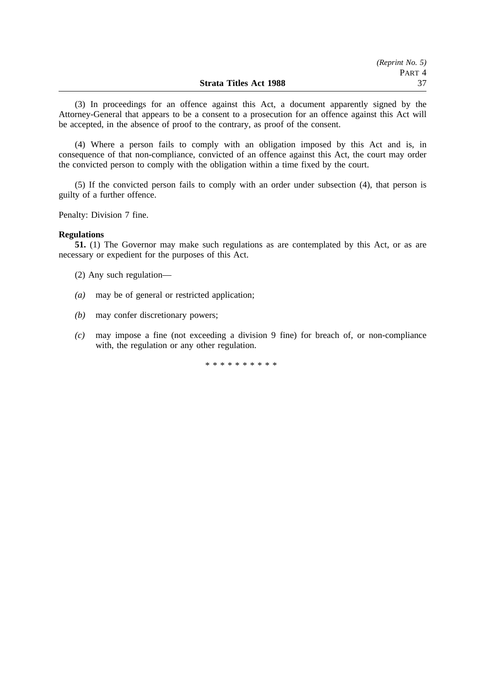(3) In proceedings for an offence against this Act, a document apparently signed by the Attorney-General that appears to be a consent to a prosecution for an offence against this Act will be accepted, in the absence of proof to the contrary, as proof of the consent.

(4) Where a person fails to comply with an obligation imposed by this Act and is, in consequence of that non-compliance, convicted of an offence against this Act, the court may order the convicted person to comply with the obligation within a time fixed by the court.

(5) If the convicted person fails to comply with an order under subsection (4), that person is guilty of a further offence.

Penalty: Division 7 fine.

#### **Regulations**

**51.** (1) The Governor may make such regulations as are contemplated by this Act, or as are necessary or expedient for the purposes of this Act.

(2) Any such regulation—

- *(a)* may be of general or restricted application;
- *(b)* may confer discretionary powers;
- *(c)* may impose a fine (not exceeding a division 9 fine) for breach of, or non-compliance with, the regulation or any other regulation.

\*\*\*\*\*\*\*\*\*\*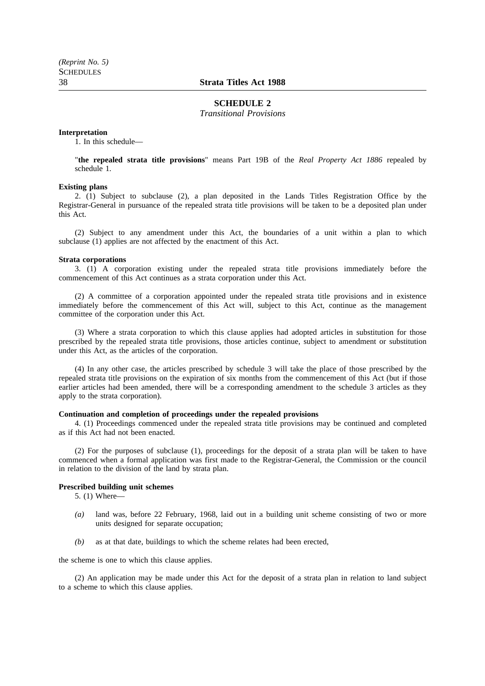### 38 **Strata Titles Act 1988**

#### **SCHEDULE 2**

*Transitional Provisions*

#### **Interpretation**

1. In this schedule—

"**the repealed strata title provisions**" means Part 19B of the *Real Property Act 1886* repealed by schedule 1.

#### **Existing plans**

2. (1) Subject to subclause (2), a plan deposited in the Lands Titles Registration Office by the Registrar-General in pursuance of the repealed strata title provisions will be taken to be a deposited plan under this Act.

(2) Subject to any amendment under this Act, the boundaries of a unit within a plan to which subclause (1) applies are not affected by the enactment of this Act.

#### **Strata corporations**

3. (1) A corporation existing under the repealed strata title provisions immediately before the commencement of this Act continues as a strata corporation under this Act.

(2) A committee of a corporation appointed under the repealed strata title provisions and in existence immediately before the commencement of this Act will, subject to this Act, continue as the management committee of the corporation under this Act.

(3) Where a strata corporation to which this clause applies had adopted articles in substitution for those prescribed by the repealed strata title provisions, those articles continue, subject to amendment or substitution under this Act, as the articles of the corporation.

(4) In any other case, the articles prescribed by schedule 3 will take the place of those prescribed by the repealed strata title provisions on the expiration of six months from the commencement of this Act (but if those earlier articles had been amended, there will be a corresponding amendment to the schedule 3 articles as they apply to the strata corporation).

#### **Continuation and completion of proceedings under the repealed provisions**

4. (1) Proceedings commenced under the repealed strata title provisions may be continued and completed as if this Act had not been enacted.

(2) For the purposes of subclause (1), proceedings for the deposit of a strata plan will be taken to have commenced when a formal application was first made to the Registrar-General, the Commission or the council in relation to the division of the land by strata plan.

#### **Prescribed building unit schemes**

5. (1) Where—

- *(a)* land was, before 22 February, 1968, laid out in a building unit scheme consisting of two or more units designed for separate occupation;
- *(b)* as at that date, buildings to which the scheme relates had been erected,

the scheme is one to which this clause applies.

(2) An application may be made under this Act for the deposit of a strata plan in relation to land subject to a scheme to which this clause applies.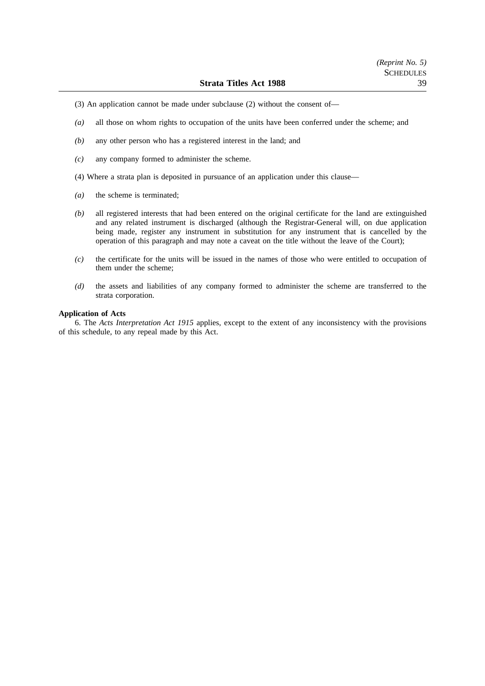- (3) An application cannot be made under subclause (2) without the consent of—
- *(a)* all those on whom rights to occupation of the units have been conferred under the scheme; and
- *(b)* any other person who has a registered interest in the land; and
- *(c)* any company formed to administer the scheme.
- (4) Where a strata plan is deposited in pursuance of an application under this clause—
- *(a)* the scheme is terminated;
- *(b)* all registered interests that had been entered on the original certificate for the land are extinguished and any related instrument is discharged (although the Registrar-General will, on due application being made, register any instrument in substitution for any instrument that is cancelled by the operation of this paragraph and may note a caveat on the title without the leave of the Court);
- *(c)* the certificate for the units will be issued in the names of those who were entitled to occupation of them under the scheme;
- *(d)* the assets and liabilities of any company formed to administer the scheme are transferred to the strata corporation.

#### **Application of Acts**

6. The *Acts Interpretation Act 1915* applies, except to the extent of any inconsistency with the provisions of this schedule, to any repeal made by this Act.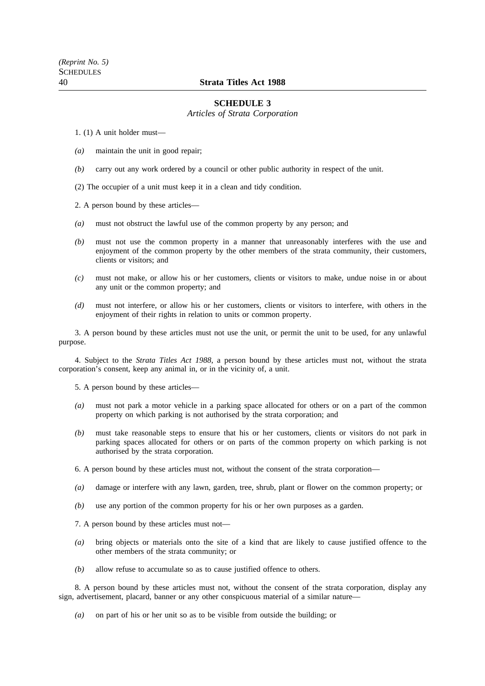## 40 **Strata Titles Act 1988**

### **SCHEDULE 3**

*Articles of Strata Corporation*

1. (1) A unit holder must—

- *(a)* maintain the unit in good repair;
- *(b)* carry out any work ordered by a council or other public authority in respect of the unit.

(2) The occupier of a unit must keep it in a clean and tidy condition.

2. A person bound by these articles—

- *(a)* must not obstruct the lawful use of the common property by any person; and
- *(b)* must not use the common property in a manner that unreasonably interferes with the use and enjoyment of the common property by the other members of the strata community, their customers, clients or visitors; and
- *(c)* must not make, or allow his or her customers, clients or visitors to make, undue noise in or about any unit or the common property; and
- *(d)* must not interfere, or allow his or her customers, clients or visitors to interfere, with others in the enjoyment of their rights in relation to units or common property.

3. A person bound by these articles must not use the unit, or permit the unit to be used, for any unlawful purpose.

4. Subject to the *Strata Titles Act 1988*, a person bound by these articles must not, without the strata corporation's consent, keep any animal in, or in the vicinity of, a unit.

5. A person bound by these articles—

- *(a)* must not park a motor vehicle in a parking space allocated for others or on a part of the common property on which parking is not authorised by the strata corporation; and
- *(b)* must take reasonable steps to ensure that his or her customers, clients or visitors do not park in parking spaces allocated for others or on parts of the common property on which parking is not authorised by the strata corporation.

6. A person bound by these articles must not, without the consent of the strata corporation—

- *(a)* damage or interfere with any lawn, garden, tree, shrub, plant or flower on the common property; or
- *(b)* use any portion of the common property for his or her own purposes as a garden.
- 7. A person bound by these articles must not—
- *(a)* bring objects or materials onto the site of a kind that are likely to cause justified offence to the other members of the strata community; or
- *(b)* allow refuse to accumulate so as to cause justified offence to others.

8. A person bound by these articles must not, without the consent of the strata corporation, display any sign, advertisement, placard, banner or any other conspicuous material of a similar nature—

*(a)* on part of his or her unit so as to be visible from outside the building; or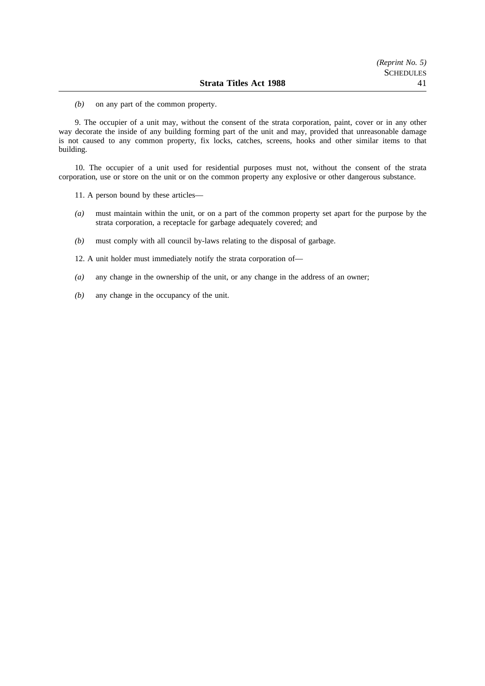*(b)* on any part of the common property.

9. The occupier of a unit may, without the consent of the strata corporation, paint, cover or in any other way decorate the inside of any building forming part of the unit and may, provided that unreasonable damage is not caused to any common property, fix locks, catches, screens, hooks and other similar items to that building.

10. The occupier of a unit used for residential purposes must not, without the consent of the strata corporation, use or store on the unit or on the common property any explosive or other dangerous substance.

11. A person bound by these articles—

- *(a)* must maintain within the unit, or on a part of the common property set apart for the purpose by the strata corporation, a receptacle for garbage adequately covered; and
- *(b)* must comply with all council by-laws relating to the disposal of garbage.

12. A unit holder must immediately notify the strata corporation of—

- *(a)* any change in the ownership of the unit, or any change in the address of an owner;
- *(b)* any change in the occupancy of the unit.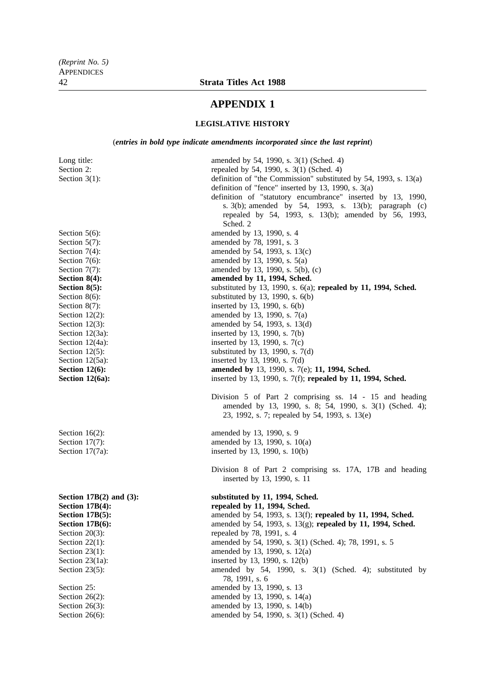# **APPENDIX 1**

## **LEGISLATIVE HISTORY**

(*entries in bold type indicate amendments incorporated since the last reprint*)

| Long title:<br>Section 2:<br>Section $3(1)$ : | amended by 54, 1990, s. 3(1) (Sched. 4)<br>repealed by 54, 1990, s. 3(1) (Sched. 4)<br>definition of "the Commission" substituted by 54, 1993, s. $13(a)$<br>definition of "fence" inserted by 13, 1990, s. $3(a)$<br>definition of "statutory encumbrance" inserted by 13, 1990,<br>s. 3(b); amended by 54, 1993, s. 13(b); paragraph (c)<br>repealed by 54, 1993, s. 13(b); amended by 56, 1993,<br>Sched. 2 |
|-----------------------------------------------|----------------------------------------------------------------------------------------------------------------------------------------------------------------------------------------------------------------------------------------------------------------------------------------------------------------------------------------------------------------------------------------------------------------|
| Section $5(6)$ :                              | amended by 13, 1990, s. 4                                                                                                                                                                                                                                                                                                                                                                                      |
| Section $5(7)$ :                              | amended by 78, 1991, s. 3                                                                                                                                                                                                                                                                                                                                                                                      |
| Section $7(4)$ :                              | amended by 54, 1993, s. 13(c)                                                                                                                                                                                                                                                                                                                                                                                  |
| Section 7(6):                                 | amended by 13, 1990, s. 5(a)                                                                                                                                                                                                                                                                                                                                                                                   |
| Section $7(7)$ :                              | amended by 13, 1990, s. 5(b), (c)                                                                                                                                                                                                                                                                                                                                                                              |
| Section $8(4)$ :                              | amended by 11, 1994, Sched.                                                                                                                                                                                                                                                                                                                                                                                    |
| Section $8(5)$ :                              | substituted by 13, 1990, s. $6(a)$ ; repealed by 11, 1994, Sched.                                                                                                                                                                                                                                                                                                                                              |
| Section $8(6)$ :                              | substituted by 13, 1990, s. $6(b)$                                                                                                                                                                                                                                                                                                                                                                             |
| Section $8(7)$ :                              | inserted by 13, 1990, s. 6(b)                                                                                                                                                                                                                                                                                                                                                                                  |
| Section $12(2)$ :                             | amended by 13, 1990, s. 7(a)                                                                                                                                                                                                                                                                                                                                                                                   |
| Section $12(3)$ :                             | amended by 54, 1993, s. 13(d)                                                                                                                                                                                                                                                                                                                                                                                  |
| Section $12(3a)$ :                            | inserted by 13, 1990, s. 7(b)                                                                                                                                                                                                                                                                                                                                                                                  |
| Section $12(4a)$ :                            | inserted by 13, 1990, s. 7(c)                                                                                                                                                                                                                                                                                                                                                                                  |
| Section $12(5)$ :                             | substituted by 13, 1990, s. $7(d)$                                                                                                                                                                                                                                                                                                                                                                             |
| Section 12(5a):                               | inserted by 13, 1990, s. 7(d)                                                                                                                                                                                                                                                                                                                                                                                  |
| <b>Section 12(6):</b>                         | amended by 13, 1990, s. 7(e); 11, 1994, Sched.                                                                                                                                                                                                                                                                                                                                                                 |
| Section 12(6a):                               | inserted by 13, 1990, s. 7(f); repealed by 11, 1994, Sched.                                                                                                                                                                                                                                                                                                                                                    |
|                                               | Division 5 of Part 2 comprising ss. 14 - 15 and heading<br>amended by 13, 1990, s. 8; 54, 1990, s. 3(1) (Sched. 4);<br>23, 1992, s. 7; repealed by 54, 1993, s. 13(e)                                                                                                                                                                                                                                          |
| Section $16(2)$ :                             | amended by 13, 1990, s. 9                                                                                                                                                                                                                                                                                                                                                                                      |
| Section $17(7)$ :                             | amended by 13, 1990, s. 10(a)                                                                                                                                                                                                                                                                                                                                                                                  |
| Section 17(7a):                               | inserted by 13, 1990, s. 10(b)                                                                                                                                                                                                                                                                                                                                                                                 |
|                                               | Division 8 of Part 2 comprising ss. 17A, 17B and heading<br>inserted by 13, 1990, s. 11                                                                                                                                                                                                                                                                                                                        |
| Section $17B(2)$ and $(3)$ :                  | substituted by 11, 1994, Sched.                                                                                                                                                                                                                                                                                                                                                                                |
| <b>Section 17B(4):</b>                        | repealed by 11, 1994, Sched.                                                                                                                                                                                                                                                                                                                                                                                   |
| <b>Section 17B(5):</b>                        | amended by 54, 1993, s. 13(f); repealed by 11, 1994, Sched.                                                                                                                                                                                                                                                                                                                                                    |
| <b>Section 17B(6):</b>                        | amended by 54, 1993, s. 13(g); repealed by 11, 1994, Sched.                                                                                                                                                                                                                                                                                                                                                    |
| Section $20(3)$ :                             | repealed by 78, 1991, s. 4                                                                                                                                                                                                                                                                                                                                                                                     |
| Section $22(1)$ :                             | amended by 54, 1990, s. 3(1) (Sched. 4); 78, 1991, s. 5                                                                                                                                                                                                                                                                                                                                                        |
| Section $23(1)$ :                             | amended by 13, 1990, s. 12(a)                                                                                                                                                                                                                                                                                                                                                                                  |
| Section $23(1a)$ :                            | inserted by 13, 1990, s. 12(b)                                                                                                                                                                                                                                                                                                                                                                                 |
| Section $23(5)$ :                             | amended by 54, 1990, s. 3(1) (Sched. 4); substituted by<br>78, 1991, s. 6                                                                                                                                                                                                                                                                                                                                      |
| Section 25:                                   | amended by 13, 1990, s. 13                                                                                                                                                                                                                                                                                                                                                                                     |
| Section $26(2)$ :                             | amended by 13, 1990, s. 14(a)                                                                                                                                                                                                                                                                                                                                                                                  |
| Section $26(3)$ :                             | amended by 13, 1990, s. 14(b)                                                                                                                                                                                                                                                                                                                                                                                  |
| Section $26(6)$ :                             | amended by 54, 1990, s. 3(1) (Sched. 4)                                                                                                                                                                                                                                                                                                                                                                        |
|                                               |                                                                                                                                                                                                                                                                                                                                                                                                                |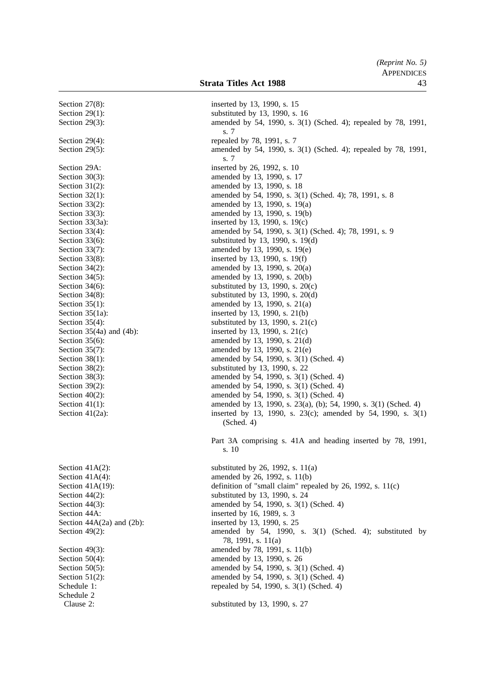|                                                                           | (Reprint No. 5)<br><b>APPENDICES</b> |
|---------------------------------------------------------------------------|--------------------------------------|
| <b>Strata Titles Act 1988</b>                                             | 43                                   |
| inserted by 13, 1990, s. 15                                               |                                      |
| substituted by 13, 1990, s. 16                                            |                                      |
| amended by 54, 1990, s. 3(1) (Sched. 4); repealed by 78, 1991,<br>s. 7    |                                      |
| repealed by 78, 1991, s. 7                                                |                                      |
| amended by 54, 1990, s. 3(1) (Sched. 4); repealed by 78, 1991,<br>s. 7    |                                      |
| inserted by 26, 1992, s. 10                                               |                                      |
| amended by 13, 1990, s. 17                                                |                                      |
| amended by 13, 1990, s. 18                                                |                                      |
| amended by 54, 1990, s. 3(1) (Sched. 4); 78, 1991, s. 8                   |                                      |
| amended by 13, 1990, s. 19(a)                                             |                                      |
| amended by 13, 1990, s. 19(b)                                             |                                      |
| inserted by 13, 1990, s. 19(c)                                            |                                      |
| amended by 54, 1990, s. 3(1) (Sched. 4); 78, 1991, s. 9                   |                                      |
| substituted by 13, 1990, s. 19(d)<br>amended by 13, 1990, s. 19(e)        |                                      |
| inserted by 13, 1990, s. 19(f)                                            |                                      |
| amended by 13, 1990, s. 20(a)                                             |                                      |
| amended by 13, 1990, s. 20(b)                                             |                                      |
| substituted by 13, 1990, s. 20(c)                                         |                                      |
| substituted by 13, 1990, s. 20(d)                                         |                                      |
| amended by 13, 1990, s. 21(a)                                             |                                      |
| inserted by 13, 1990, s. 21(b)                                            |                                      |
| substituted by 13, 1990, s. $21(c)$                                       |                                      |
| inserted by 13, 1990, s. 21(c)                                            |                                      |
| amended by 13, 1990, s. 21(d)                                             |                                      |
| amended by 13, 1990, s. 21(e)                                             |                                      |
| amended by 54, 1990, s. 3(1) (Sched. 4)<br>substituted by 13, 1990, s. 22 |                                      |
| amended by 54, 1990, s. 3(1) (Sched. 4)                                   |                                      |
| amended by 54, 1990, s. 3(1) (Sched. 4)                                   |                                      |
| amended by 54, 1990, s. 3(1) (Sched. 4)                                   |                                      |
| amended by 13, 1990, s. 23(a), (b); 54, 1990, s. 3(1) (Sched. 4)          |                                      |
| inserted by 13, 1990, s. 23(c); amended by 54, 1990, s. 3(1)              |                                      |
| (Sched. 4)                                                                |                                      |
| Part 3A comprising s. 41A and heading inserted by 78, 1991,               |                                      |
| s. 10                                                                     |                                      |
| substituted by 26, 1992, s. $11(a)$                                       |                                      |
| amended by 26, 1992, s. 11(b)                                             |                                      |
| definition of "small claim" repealed by 26, 1992, s. $11(c)$              |                                      |
| substituted by 13, 1990, s. 24                                            |                                      |
| amended by 54, 1990, s. 3(1) (Sched. 4)                                   |                                      |
| inserted by 16, 1989, s. 3                                                |                                      |
| inserted by 13, 1990, s. 25                                               |                                      |
| amended by 54, 1990, s. 3(1) (Sched. 4); substituted by                   |                                      |
| 78, 1991, s. 11(a)                                                        |                                      |
| amended by 78, 1991, s. 11(b)                                             |                                      |
| amended by 13, 1990, s. 26<br>amended by 54, 1990, s. 3(1) (Sched. 4)     |                                      |
| amended by 54, 1990, s. 3(1) (Sched. 4)                                   |                                      |
| repealed by 54, 1990, s. 3(1) (Sched. 4)                                  |                                      |
|                                                                           |                                      |
| substituted by 13, 1990, s. 27                                            |                                      |
|                                                                           |                                      |

Section  $27(8)$ : Section  $29(1)$ : Section  $29(3)$ : Section  $29(4)$ : Section  $29(5)$ : Section 29A: Section  $30(3)$ : Section  $31(2)$ : Section  $32(1)$ : Section  $33(2)$ : Section  $33(3)$ : Section  $33(3a)$ : Section  $33(4)$ : Section  $33(6)$ : Section  $33(7)$ : Section  $33(8)$ : Section  $34(2)$ : Section  $34(5)$ : Section  $34(6)$ : Section  $34(8)$ : Section  $35(1)$ : Section  $35(1a)$ : Section  $35(4)$ : Section  $35(4a)$  and  $(4b)$ : Section  $35(6)$ : Section  $35(7)$ : Section  $38(1)$ : Section  $38(2)$ : Section  $38(3)$ : Section  $39(2)$ : Section  $40(2)$ : Section  $41(1)$ : Section  $41(2a)$ :

Section  $41A(2)$ : Section  $41A(4)$ : Section  $41A(19)$ : Section  $44(2)$ : Section  $44(3)$ : Section 44A: Section  $44A(2a)$  and  $(2b)$ : Section  $49(2)$ : Section  $49(3)$ : Section  $50(4)$ : Section  $50(5)$ : Section  $51(2)$ : Schedule 1: Schedule 2 Clause 2: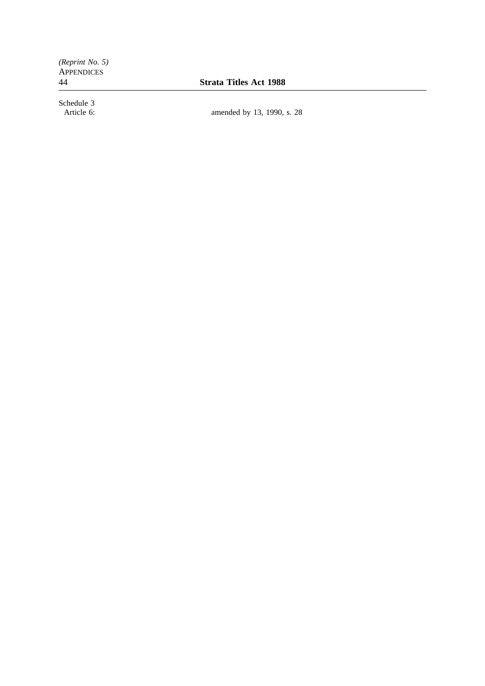*(Reprint No. 5)* **APPENDICES** 

44 **Strata Titles Act 1988**

Schedule 3<br>Article 6:

amended by 13, 1990, s. 28